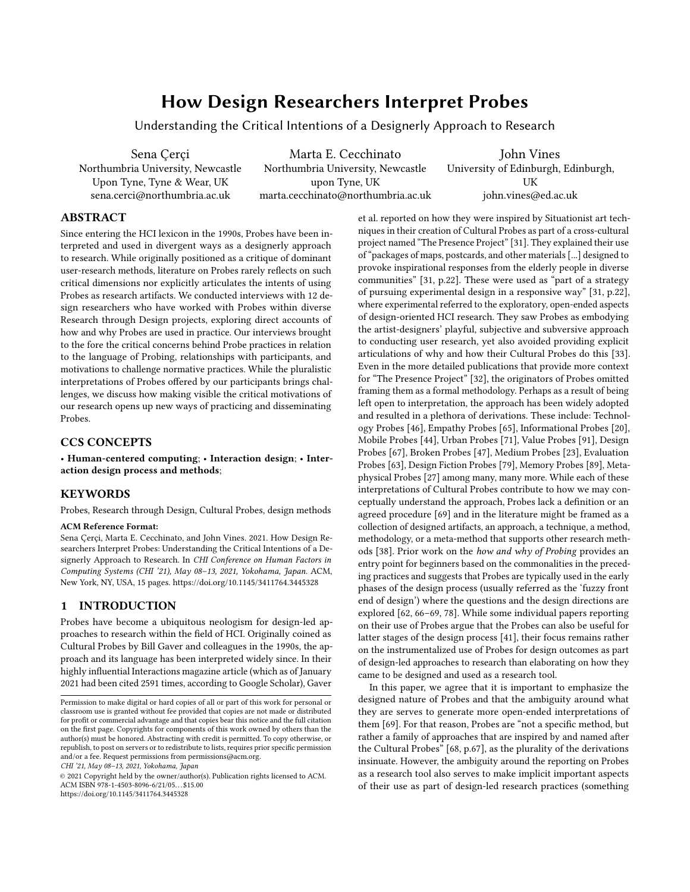# How Design Researchers Interpret Probes

Understanding the Critical Intentions of a Designerly Approach to Research

Sena Çerçi Marta E. Cecchinato John Vines Northumbria University, Newcastle Northumbria University, Newcastle University of Edinburgh, Edinburgh, Upon Tyne, Tyne & Wear, UK upon Tyne, UK upon Tyne, UK UK [sena.cerci@northumbria.ac.uk](mailto:sena.cerci@northumbria.ac.uk) [marta.cecchinato@northumbria.ac.uk](mailto:marta.cecchinato@northumbria.ac.uk) [john.vines@ed.ac.uk](mailto:john.vines@ed.ac.uk)

## ABSTRACT

Since entering the HCI lexicon in the 1990s, Probes have been interpreted and used in divergent ways as a designerly approach to research. While originally positioned as a critique of dominant user-research methods, literature on Probes rarely refects on such critical dimensions nor explicitly articulates the intents of using Probes as research artifacts. We conducted interviews with 12 design researchers who have worked with Probes within diverse Research through Design projects, exploring direct accounts of how and why Probes are used in practice. Our interviews brought to the fore the critical concerns behind Probe practices in relation to the language of Probing, relationships with participants, and motivations to challenge normative practices. While the pluralistic interpretations of Probes ofered by our participants brings challenges, we discuss how making visible the critical motivations of our research opens up new ways of practicing and disseminating Probes.

## CCS CONCEPTS

• Human-centered computing; • Interaction design; • Interaction design process and methods;

## **KEYWORDS**

Probes, Research through Design, Cultural Probes, design methods

#### ACM Reference Format:

Sena Çerçi, Marta E. Cecchinato, and John Vines. 2021. How Design Researchers Interpret Probes: Understanding the Critical Intentions of a Designerly Approach to Research. In CHI Conference on Human Factors in Computing Systems (CHI '21), May 08–13, 2021, Yokohama, Japan. ACM, New York, NY, USA, [15](#page-14-0) pages. <https://doi.org/10.1145/3411764.3445328>

## 1 INTRODUCTION

Probes have become a ubiquitous neologism for design-led approaches to research within the feld of HCI. Originally coined as Cultural Probes by Bill Gaver and colleagues in the 1990s, the approach and its language has been interpreted widely since. In their highly infuential Interactions magazine article (which as of January 2021 had been cited 2591 times, according to Google Scholar), Gaver

CHI '21, May 08–13, 2021, Yokohama, Japan

© 2021 Copyright held by the owner/author(s). Publication rights licensed to ACM. ACM ISBN 978-1-4503-8096-6/21/05. . . \$15.00 <https://doi.org/10.1145/3411764.3445328>

et al. reported on how they were inspired by Situationist art techniques in their creation of Cultural Probes as part of a cross-cultural project named "The Presence Project" [\[31\]](#page-12-0). They explained their use of "packages of maps, postcards, and other materials[...] designed to provoke inspirational responses from the elderly people in diverse communities" [\[31,](#page-12-0) p[.22\]](#page-12-1). These were used as "part of a strategy of pursuing experimental design in a responsive way" [\[31,](#page-12-0) p[.22\]](#page-12-1), where experimental referred to the exploratory, open-ended aspects of design-oriented HCI research. They saw Probes as embodying the artist-designers' playful, subjective and subversive approach to conducting user research, yet also avoided providing explicit articulations of why and how their Cultural Probes do this [\[33\]](#page-12-2). Even in the more detailed publications that provide more context for "The Presence Project" [\[32\]](#page-12-3), the originators of Probes omitted framing them as a formal methodology. Perhaps as a result of being left open to interpretation, the approach has been widely adopted and resulted in a plethora of derivations. These include: Technology Probes [\[46\]](#page-13-0), Empathy Probes [\[65\]](#page-13-1), Informational Probes [\[20\]](#page-12-4), Mobile Probes [\[44\]](#page-13-2), Urban Probes [\[71\]](#page-13-3), Value Probes [\[91\]](#page-14-1), Design Probes [\[67\]](#page-13-4), Broken Probes [\[47\]](#page-13-5), Medium Probes [\[23\]](#page-12-5), Evaluation Probes [\[63\]](#page-13-6), Design Fiction Probes [\[79\]](#page-13-7), Memory Probes [\[89\]](#page-14-2), Metaphysical Probes [\[27\]](#page-12-6) among many, many more. While each of these interpretations of Cultural Probes contribute to how we may conceptually understand the approach, Probes lack a defnition or an agreed procedure [\[69\]](#page-13-8) and in the literature might be framed as a collection of designed artifacts, an approach, a technique, a method, methodology, or a meta-method that supports other research methods [\[38\]](#page-13-9). Prior work on the how and why of Probing provides an entry point for beginners based on the commonalities in the preceding practices and suggests that Probes are typically used in the early phases of the design process (usually referred as the 'fuzzy front end of design') where the questions and the design directions are explored [\[62,](#page-13-10) [66–](#page-13-11)[69,](#page-13-8) [78\]](#page-13-12). While some individual papers reporting on their use of Probes argue that the Probes can also be useful for latter stages of the design process [\[41\]](#page-13-13), their focus remains rather on the instrumentalized use of Probes for design outcomes as part of design-led approaches to research than elaborating on how they came to be designed and used as a research tool.

In this paper, we agree that it is important to emphasize the designed nature of Probes and that the ambiguity around what they are serves to generate more open-ended interpretations of them [\[69\]](#page-13-8). For that reason, Probes are "not a specifc method, but rather a family of approaches that are inspired by and named after the Cultural Probes" [\[68,](#page-13-14) p[.67\]](#page-13-4), as the plurality of the derivations insinuate. However, the ambiguity around the reporting on Probes as a research tool also serves to make implicit important aspects of their use as part of design-led research practices (something

Permission to make digital or hard copies of all or part of this work for personal or classroom use is granted without fee provided that copies are not made or distributed for proft or commercial advantage and that copies bear this notice and the full citation on the frst page. Copyrights for components of this work owned by others than the author(s) must be honored. Abstracting with credit is permitted. To copy otherwise, or republish, to post on servers or to redistribute to lists, requires prior specifc permission and/or a fee. Request permissions from [permissions@acm.org](mailto:permissions@acm.org).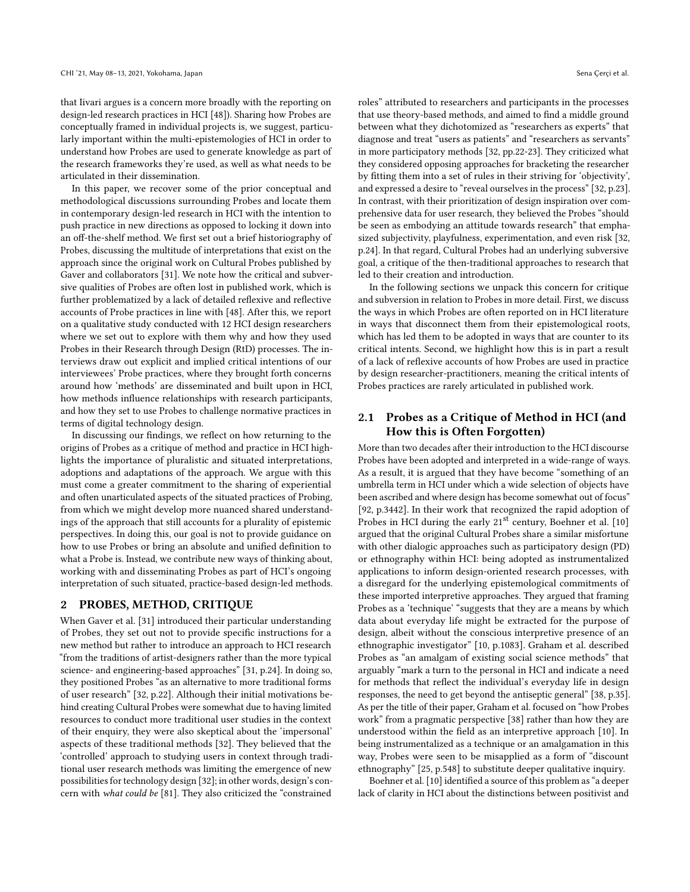that Iivari argues is a concern more broadly with the reporting on design-led research practices in HCI [\[48\]](#page-13-15)). Sharing how Probes are conceptually framed in individual projects is, we suggest, particularly important within the multi-epistemologies of HCI in order to understand how Probes are used to generate knowledge as part of the research frameworks they're used, as well as what needs to be articulated in their dissemination.

In this paper, we recover some of the prior conceptual and methodological discussions surrounding Probes and locate them in contemporary design-led research in HCI with the intention to push practice in new directions as opposed to locking it down into an off-the-shelf method. We first set out a brief historiography of Probes, discussing the multitude of interpretations that exist on the approach since the original work on Cultural Probes published by Gaver and collaborators [\[31\]](#page-12-0). We note how the critical and subversive qualities of Probes are often lost in published work, which is further problematized by a lack of detailed reflexive and reflective accounts of Probe practices in line with [\[48\]](#page-13-15). After this, we report on a qualitative study conducted with 12 HCI design researchers where we set out to explore with them why and how they used Probes in their Research through Design (RtD) processes. The interviews draw out explicit and implied critical intentions of our interviewees' Probe practices, where they brought forth concerns around how 'methods' are disseminated and built upon in HCI, how methods infuence relationships with research participants, and how they set to use Probes to challenge normative practices in terms of digital technology design.

In discussing our fndings, we refect on how returning to the origins of Probes as a critique of method and practice in HCI highlights the importance of pluralistic and situated interpretations, adoptions and adaptations of the approach. We argue with this must come a greater commitment to the sharing of experiential and often unarticulated aspects of the situated practices of Probing, from which we might develop more nuanced shared understandings of the approach that still accounts for a plurality of epistemic perspectives. In doing this, our goal is not to provide guidance on how to use Probes or bring an absolute and unifed defnition to what a Probe is. Instead, we contribute new ways of thinking about, working with and disseminating Probes as part of HCI's ongoing interpretation of such situated, practice-based design-led methods.

# 2 PROBES, METHOD, CRITIQUE

When Gaver et al. [\[31\]](#page-12-0) introduced their particular understanding of Probes, they set out not to provide specifc instructions for a new method but rather to introduce an approach to HCI research "from the traditions of artist-designers rather than the more typical science- and engineering-based approaches" [\[31,](#page-12-0) p[.24\]](#page-12-7). In doing so, they positioned Probes "as an alternative to more traditional forms of user research" [\[32,](#page-12-3) p.22]. Although their initial motivations behind creating Cultural Probes were somewhat due to having limited resources to conduct more traditional user studies in the context of their enquiry, they were also skeptical about the 'impersonal' aspects of these traditional methods [\[32\]](#page-12-3). They believed that the 'controlled' approach to studying users in context through traditional user research methods was limiting the emergence of new possibilities for technology design [\[32\]](#page-12-3); in other words, design's concern with what could be [\[81\]](#page-13-16). They also criticized the "constrained

roles" attributed to researchers and participants in the processes that use theory-based methods, and aimed to fnd a middle ground between what they dichotomized as "researchers as experts" that diagnose and treat "users as patients" and "researchers as servants" in more participatory methods [\[32,](#page-12-3) pp.22-23]. They criticized what they considered opposing approaches for bracketing the researcher by ftting them into a set of rules in their striving for 'objectivity', and expressed a desire to "reveal ourselves in the process" [\[32,](#page-12-3) p.23]. In contrast, with their prioritization of design inspiration over comprehensive data for user research, they believed the Probes "should be seen as embodying an attitude towards research" that emphasized subjectivity, playfulness, experimentation, and even risk [\[32,](#page-12-3) p.24]. In that regard, Cultural Probes had an underlying subversive goal, a critique of the then-traditional approaches to research that led to their creation and introduction.

In the following sections we unpack this concern for critique and subversion in relation to Probes in more detail. First, we discuss the ways in which Probes are often reported on in HCI literature in ways that disconnect them from their epistemological roots, which has led them to be adopted in ways that are counter to its critical intents. Second, we highlight how this is in part a result of a lack of refexive accounts of how Probes are used in practice by design researcher-practitioners, meaning the critical intents of Probes practices are rarely articulated in published work.

# 2.1 Probes as a Critique of Method in HCI (and How this is Often Forgotten)

More than two decades after their introduction to the HCI discourse Probes have been adopted and interpreted in a wide-range of ways. As a result, it is argued that they have become "something of an umbrella term in HCI under which a wide selection of objects have been ascribed and where design has become somewhat out of focus" [\[92,](#page-14-3) p.3442]. In their work that recognized the rapid adoption of Probes in HCI during the early 21<sup>st</sup> century, Boehner et al. [\[10\]](#page-12-8) argued that the original Cultural Probes share a similar misfortune with other dialogic approaches such as participatory design (PD) or ethnography within HCI: being adopted as instrumentalized applications to inform design-oriented research processes, with a disregard for the underlying epistemological commitments of these imported interpretive approaches. They argued that framing Probes as a 'technique' "suggests that they are a means by which data about everyday life might be extracted for the purpose of design, albeit without the conscious interpretive presence of an ethnographic investigator" [\[10,](#page-12-8) p.1083]. Graham et al. described Probes as "an amalgam of existing social science methods" that arguably "mark a turn to the personal in HCI and indicate a need for methods that refect the individual's everyday life in design responses, the need to get beyond the antiseptic general" [\[38,](#page-13-9) p.35]. As per the title of their paper, Graham et al. focused on "how Probes work" from a pragmatic perspective [\[38\]](#page-13-9) rather than how they are understood within the feld as an interpretive approach [\[10\]](#page-12-8). In being instrumentalized as a technique or an amalgamation in this way, Probes were seen to be misapplied as a form of "discount ethnography" [\[25,](#page-12-9) p.548] to substitute deeper qualitative inquiry.

Boehner et al. [\[10\]](#page-12-8) identified a source of this problem as "a deeper lack of clarity in HCI about the distinctions between positivist and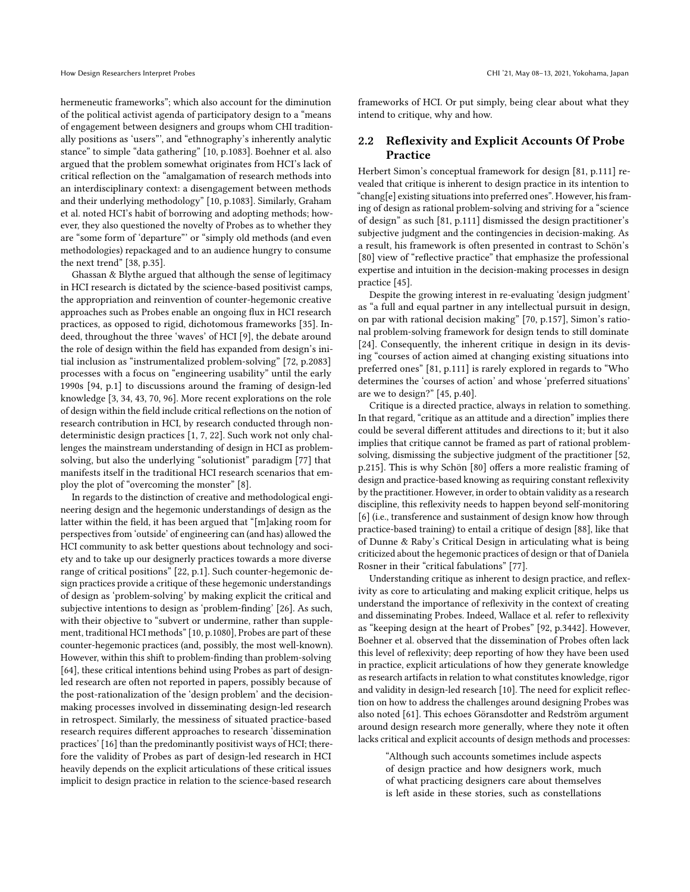hermeneutic frameworks"; which also account for the diminution of the political activist agenda of participatory design to a "means of engagement between designers and groups whom CHI traditionally positions as 'users"', and "ethnography's inherently analytic stance" to simple "data gathering" [\[10,](#page-12-8) p.1083]. Boehner et al. also argued that the problem somewhat originates from HCI's lack of critical refection on the "amalgamation of research methods into an interdisciplinary context: a disengagement between methods and their underlying methodology" [\[10,](#page-12-8) p.1083]. Similarly, Graham et al. noted HCI's habit of borrowing and adopting methods; however, they also questioned the novelty of Probes as to whether they are "some form of 'departure"' or "simply old methods (and even methodologies) repackaged and to an audience hungry to consume the next trend" [\[38,](#page-13-9) p.35].

Ghassan & Blythe argued that although the sense of legitimacy in HCI research is dictated by the science-based positivist camps, the appropriation and reinvention of counter-hegemonic creative approaches such as Probes enable an ongoing fux in HCI research practices, as opposed to rigid, dichotomous frameworks [\[35\]](#page-13-17). Indeed, throughout the three 'waves' of HCI [\[9\]](#page-12-10), the debate around the role of design within the feld has expanded from design's initial inclusion as "instrumentalized problem-solving" [\[72,](#page-13-18) p.2083] processes with a focus on "engineering usability" until the early 1990s [\[94,](#page-14-4) p.1] to discussions around the framing of design-led knowledge [\[3,](#page-12-11) [34,](#page-12-12) [43,](#page-13-19) [70,](#page-13-20) [96\]](#page-14-5). More recent explorations on the role of design within the feld include critical refections on the notion of research contribution in HCI, by research conducted through nondeterministic design practices [\[1,](#page-12-13) [7,](#page-12-14) [22\]](#page-12-1). Such work not only challenges the mainstream understanding of design in HCI as problemsolving, but also the underlying "solutionist" paradigm [\[77\]](#page-13-21) that manifests itself in the traditional HCI research scenarios that employ the plot of "overcoming the monster" [\[8\]](#page-12-15).

In regards to the distinction of creative and methodological engineering design and the hegemonic understandings of design as the latter within the feld, it has been argued that "[m]aking room for perspectives from 'outside' of engineering can (and has) allowed the HCI community to ask better questions about technology and society and to take up our designerly practices towards a more diverse range of critical positions" [\[22,](#page-12-1) p.1]. Such counter-hegemonic design practices provide a critique of these hegemonic understandings of design as 'problem-solving' by making explicit the critical and subjective intentions to design as 'problem-fnding' [\[26\]](#page-12-16). As such, with their objective to "subvert or undermine, rather than supplement, traditional HCI methods" [\[10,](#page-12-8) p.1080], Probes are part of these counter-hegemonic practices (and, possibly, the most well-known). However, within this shift to problem-fnding than problem-solving [\[64\]](#page-13-22), these critical intentions behind using Probes as part of designled research are often not reported in papers, possibly because of the post-rationalization of the 'design problem' and the decisionmaking processes involved in disseminating design-led research in retrospect. Similarly, the messiness of situated practice-based research requires diferent approaches to research 'dissemination practices' [\[16\]](#page-12-17) than the predominantly positivist ways of HCI; therefore the validity of Probes as part of design-led research in HCI heavily depends on the explicit articulations of these critical issues implicit to design practice in relation to the science-based research

frameworks of HCI. Or put simply, being clear about what they intend to critique, why and how.

## 2.2 Reflexivity and Explicit Accounts Of Probe Practice

Herbert Simon's conceptual framework for design [\[81,](#page-13-16) p.111] revealed that critique is inherent to design practice in its intention to "chang[e] existing situations into preferred ones". However, his framing of design as rational problem-solving and striving for a "science of design" as such [\[81,](#page-13-16) p.111] dismissed the design practitioner's subjective judgment and the contingencies in decision-making. As a result, his framework is often presented in contrast to Schön's [\[80\]](#page-13-23) view of "refective practice" that emphasize the professional expertise and intuition in the decision-making processes in design practice [\[45\]](#page-13-24).

Despite the growing interest in re-evaluating 'design judgment' as "a full and equal partner in any intellectual pursuit in design, on par with rational decision making" [\[70,](#page-13-20) p.157], Simon's rational problem-solving framework for design tends to still dominate [\[24\]](#page-12-7). Consequently, the inherent critique in design in its devising "courses of action aimed at changing existing situations into preferred ones" [\[81,](#page-13-16) p.111] is rarely explored in regards to "Who determines the 'courses of action' and whose 'preferred situations' are we to design?" [\[45,](#page-13-24) p.40].

Critique is a directed practice, always in relation to something. In that regard, "critique as an attitude and a direction" implies there could be several diferent attitudes and directions to it; but it also implies that critique cannot be framed as part of rational problemsolving, dismissing the subjective judgment of the practitioner [\[52,](#page-13-25) p.215]. This is why Schön [\[80\]](#page-13-23) offers a more realistic framing of design and practice-based knowing as requiring constant reflexivity by the practitioner. However, in order to obtain validity as a research discipline, this refexivity needs to happen beyond self-monitoring [\[6\]](#page-12-18) (i.e., transference and sustainment of design know how through practice-based training) to entail a critique of design [\[88\]](#page-14-6), like that of Dunne & Raby's Critical Design in articulating what is being criticized about the hegemonic practices of design or that of Daniela Rosner in their "critical fabulations" [\[77\]](#page-13-21).

Understanding critique as inherent to design practice, and refexivity as core to articulating and making explicit critique, helps us understand the importance of refexivity in the context of creating and disseminating Probes. Indeed, Wallace et al. refer to refexivity as "keeping design at the heart of Probes" [\[92,](#page-14-3) p.3442]. However, Boehner et al. observed that the dissemination of Probes often lack this level of refexivity; deep reporting of how they have been used in practice, explicit articulations of how they generate knowledge as research artifacts in relation to what constitutes knowledge, rigor and validity in design-led research [\[10\]](#page-12-8). The need for explicit refection on how to address the challenges around designing Probes was also noted [\[61\]](#page-13-26). This echoes Göransdotter and Redström argument around design research more generally, where they note it often lacks critical and explicit accounts of design methods and processes:

> "Although such accounts sometimes include aspects of design practice and how designers work, much of what practicing designers care about themselves is left aside in these stories, such as constellations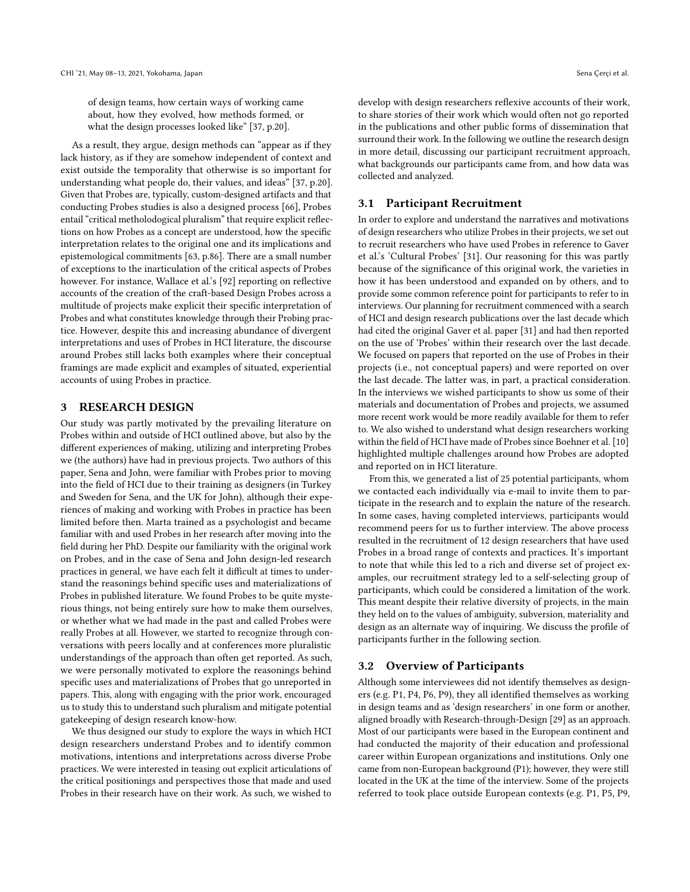of design teams, how certain ways of working came about, how they evolved, how methods formed, or what the design processes looked like" [\[37,](#page-13-27) p.20].

As a result, they argue, design methods can "appear as if they lack history, as if they are somehow independent of context and exist outside the temporality that otherwise is so important for understanding what people do, their values, and ideas" [\[37,](#page-13-27) p.20]. Given that Probes are, typically, custom-designed artifacts and that conducting Probes studies is also a designed process [\[66\]](#page-13-11), Probes entail "critical metholodogical pluralism" that require explicit refections on how Probes as a concept are understood, how the specifc interpretation relates to the original one and its implications and epistemological commitments [\[63,](#page-13-6) p.86]. There are a small number of exceptions to the inarticulation of the critical aspects of Probes however. For instance, Wallace et al.'s [\[92\]](#page-14-3) reporting on reflective accounts of the creation of the craft-based Design Probes across a multitude of projects make explicit their specifc interpretation of Probes and what constitutes knowledge through their Probing practice. However, despite this and increasing abundance of divergent interpretations and uses of Probes in HCI literature, the discourse around Probes still lacks both examples where their conceptual framings are made explicit and examples of situated, experiential accounts of using Probes in practice.

## 3 RESEARCH DESIGN

Our study was partly motivated by the prevailing literature on Probes within and outside of HCI outlined above, but also by the diferent experiences of making, utilizing and interpreting Probes we (the authors) have had in previous projects. Two authors of this paper, Sena and John, were familiar with Probes prior to moving into the feld of HCI due to their training as designers (in Turkey and Sweden for Sena, and the UK for John), although their experiences of making and working with Probes in practice has been limited before then. Marta trained as a psychologist and became familiar with and used Probes in her research after moving into the feld during her PhD. Despite our familiarity with the original work on Probes, and in the case of Sena and John design-led research practices in general, we have each felt it difficult at times to understand the reasonings behind specifc uses and materializations of Probes in published literature. We found Probes to be quite mysterious things, not being entirely sure how to make them ourselves, or whether what we had made in the past and called Probes were really Probes at all. However, we started to recognize through conversations with peers locally and at conferences more pluralistic understandings of the approach than often get reported. As such, we were personally motivated to explore the reasonings behind specifc uses and materializations of Probes that go unreported in papers. This, along with engaging with the prior work, encouraged us to study this to understand such pluralism and mitigate potential gatekeeping of design research know-how.

We thus designed our study to explore the ways in which HCI design researchers understand Probes and to identify common motivations, intentions and interpretations across diverse Probe practices. We were interested in teasing out explicit articulations of the critical positionings and perspectives those that made and used Probes in their research have on their work. As such, we wished to

develop with design researchers refexive accounts of their work, to share stories of their work which would often not go reported in the publications and other public forms of dissemination that surround their work. In the following we outline the research design in more detail, discussing our participant recruitment approach, what backgrounds our participants came from, and how data was collected and analyzed.

## 3.1 Participant Recruitment

In order to explore and understand the narratives and motivations of design researchers who utilize Probes in their projects, we set out to recruit researchers who have used Probes in reference to Gaver et al.'s 'Cultural Probes' [\[31\]](#page-12-0). Our reasoning for this was partly because of the signifcance of this original work, the varieties in how it has been understood and expanded on by others, and to provide some common reference point for participants to refer to in interviews. Our planning for recruitment commenced with a search of HCI and design research publications over the last decade which had cited the original Gaver et al. paper [\[31\]](#page-12-0) and had then reported on the use of 'Probes' within their research over the last decade. We focused on papers that reported on the use of Probes in their projects (i.e., not conceptual papers) and were reported on over the last decade. The latter was, in part, a practical consideration. In the interviews we wished participants to show us some of their materials and documentation of Probes and projects, we assumed more recent work would be more readily available for them to refer to. We also wished to understand what design researchers working within the feld of HCI have made of Probes since Boehner et al. [\[10\]](#page-12-8) highlighted multiple challenges around how Probes are adopted and reported on in HCI literature.

From this, we generated a list of 25 potential participants, whom we contacted each individually via e-mail to invite them to participate in the research and to explain the nature of the research. In some cases, having completed interviews, participants would recommend peers for us to further interview. The above process resulted in the recruitment of 12 design researchers that have used Probes in a broad range of contexts and practices. It's important to note that while this led to a rich and diverse set of project examples, our recruitment strategy led to a self-selecting group of participants, which could be considered a limitation of the work. This meant despite their relative diversity of projects, in the main they held on to the values of ambiguity, subversion, materiality and design as an alternate way of inquiring. We discuss the profle of participants further in the following section.

## 3.2 Overview of Participants

Although some interviewees did not identify themselves as designers (e.g. P1, P4, P6, P9), they all identifed themselves as working in design teams and as 'design researchers' in one form or another, aligned broadly with Research-through-Design [\[29\]](#page-12-19) as an approach. Most of our participants were based in the European continent and had conducted the majority of their education and professional career within European organizations and institutions. Only one came from non-European background (P1); however, they were still located in the UK at the time of the interview. Some of the projects referred to took place outside European contexts (e.g. P1, P5, P9,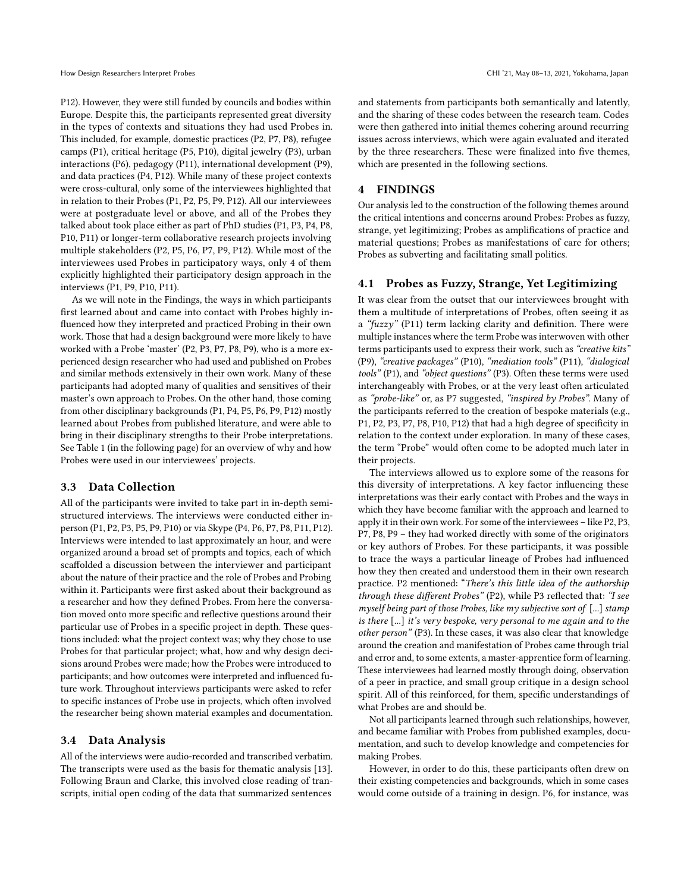P12). However, they were still funded by councils and bodies within Europe. Despite this, the participants represented great diversity in the types of contexts and situations they had used Probes in. This included, for example, domestic practices (P2, P7, P8), refugee camps (P1), critical heritage (P5, P10), digital jewelry (P3), urban interactions (P6), pedagogy (P11), international development (P9), and data practices (P4, P12). While many of these project contexts were cross-cultural, only some of the interviewees highlighted that in relation to their Probes (P1, P2, P5, P9, P12). All our interviewees were at postgraduate level or above, and all of the Probes they talked about took place either as part of PhD studies (P1, P3, P4, P8, P10, P11) or longer-term collaborative research projects involving multiple stakeholders (P2, P5, P6, P7, P9, P12). While most of the interviewees used Probes in participatory ways, only 4 of them explicitly highlighted their participatory design approach in the interviews (P1, P9, P10, P11).

As we will note in the Findings, the ways in which participants frst learned about and came into contact with Probes highly infuenced how they interpreted and practiced Probing in their own work. Those that had a design background were more likely to have worked with a Probe 'master' (P2, P3, P7, P8, P9), who is a more experienced design researcher who had used and published on Probes and similar methods extensively in their own work. Many of these participants had adopted many of qualities and sensitives of their master's own approach to Probes. On the other hand, those coming from other disciplinary backgrounds (P1, P4, P5, P6, P9, P12) mostly learned about Probes from published literature, and were able to bring in their disciplinary strengths to their Probe interpretations. See Table [1](#page-5-0) (in the following page) for an overview of why and how Probes were used in our interviewees' projects.

#### 3.3 Data Collection

All of the participants were invited to take part in in-depth semistructured interviews. The interviews were conducted either inperson (P1, P2, P3, P5, P9, P10) or via Skype (P4, P6, P7, P8, P11, P12). Interviews were intended to last approximately an hour, and were organized around a broad set of prompts and topics, each of which scaffolded a discussion between the interviewer and participant about the nature of their practice and the role of Probes and Probing within it. Participants were frst asked about their background as a researcher and how they defned Probes. From here the conversation moved onto more specifc and refective questions around their particular use of Probes in a specifc project in depth. These questions included: what the project context was; why they chose to use Probes for that particular project; what, how and why design decisions around Probes were made; how the Probes were introduced to participants; and how outcomes were interpreted and infuenced future work. Throughout interviews participants were asked to refer to specifc instances of Probe use in projects, which often involved the researcher being shown material examples and documentation.

#### 3.4 Data Analysis

All of the interviews were audio-recorded and transcribed verbatim. The transcripts were used as the basis for thematic analysis [\[13\]](#page-12-20). Following Braun and Clarke, this involved close reading of transcripts, initial open coding of the data that summarized sentences

and statements from participants both semantically and latently, and the sharing of these codes between the research team. Codes were then gathered into initial themes cohering around recurring issues across interviews, which were again evaluated and iterated by the three researchers. These were finalized into five themes, which are presented in the following sections.

## 4 FINDINGS

Our analysis led to the construction of the following themes around the critical intentions and concerns around Probes: Probes as fuzzy, strange, yet legitimizing; Probes as amplifcations of practice and material questions; Probes as manifestations of care for others; Probes as subverting and facilitating small politics.

#### 4.1 Probes as Fuzzy, Strange, Yet Legitimizing

It was clear from the outset that our interviewees brought with them a multitude of interpretations of Probes, often seeing it as a " $fuzzy$ " (P11) term lacking clarity and definition. There were multiple instances where the term Probe was interwoven with other terms participants used to express their work, such as "creative kits" (P9), "creative packages" (P10), "mediation tools" (P11), "dialogical tools" (P1), and "object questions" (P3). Often these terms were used interchangeably with Probes, or at the very least often articulated as "probe-like" or, as P7 suggested, "inspired by Probes". Many of the participants referred to the creation of bespoke materials (e.g., P1, P2, P3, P7, P8, P10, P12) that had a high degree of specifcity in relation to the context under exploration. In many of these cases, the term "Probe" would often come to be adopted much later in their projects.

The interviews allowed us to explore some of the reasons for this diversity of interpretations. A key factor infuencing these interpretations was their early contact with Probes and the ways in which they have become familiar with the approach and learned to apply it in their own work. For some of the interviewees – like P2, P3, P7, P8, P9 – they had worked directly with some of the originators or key authors of Probes. For these participants, it was possible to trace the ways a particular lineage of Probes had infuenced how they then created and understood them in their own research practice. P2 mentioned: "There's this little idea of the authorship through these different Probes" (P2), while P3 reflected that: "I see myself being part of those Probes, like my subjective sort of [...] stamp is there [...] it's very bespoke, very personal to me again and to the other person" (P3). In these cases, it was also clear that knowledge around the creation and manifestation of Probes came through trial and error and, to some extents, a master-apprentice form of learning. These interviewees had learned mostly through doing, observation of a peer in practice, and small group critique in a design school spirit. All of this reinforced, for them, specifc understandings of what Probes are and should be.

Not all participants learned through such relationships, however, and became familiar with Probes from published examples, documentation, and such to develop knowledge and competencies for making Probes.

However, in order to do this, these participants often drew on their existing competencies and backgrounds, which in some cases would come outside of a training in design. P6, for instance, was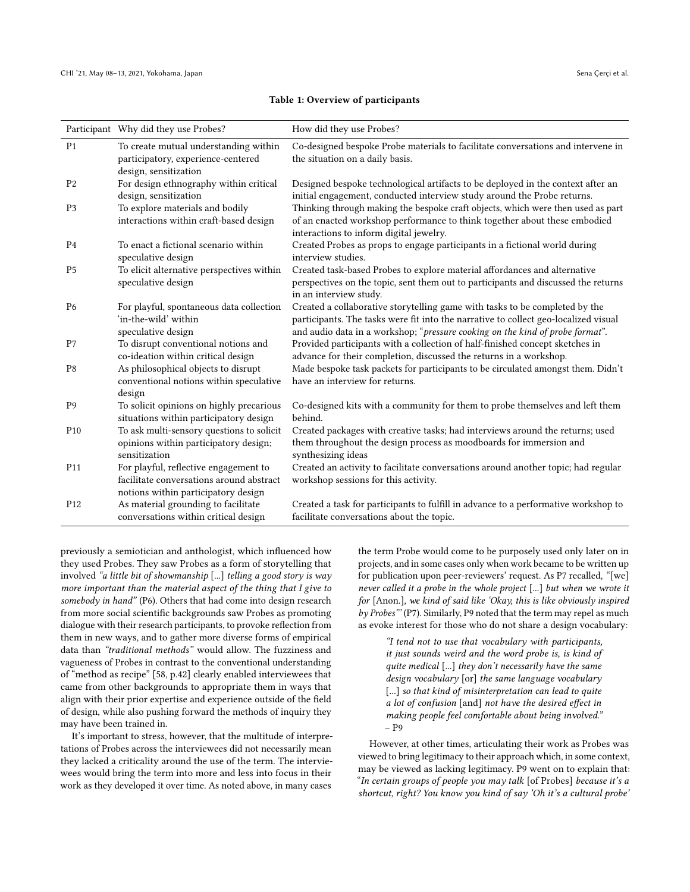#### Table 1: Overview of participants

<span id="page-5-0"></span>

|                 | Participant Why did they use Probes?                                                                                     | How did they use Probes?                                                                                                                                                                                                                            |
|-----------------|--------------------------------------------------------------------------------------------------------------------------|-----------------------------------------------------------------------------------------------------------------------------------------------------------------------------------------------------------------------------------------------------|
| P <sub>1</sub>  | To create mutual understanding within<br>participatory, experience-centered<br>design, sensitization                     | Co-designed bespoke Probe materials to facilitate conversations and intervene in<br>the situation on a daily basis.                                                                                                                                 |
| P <sub>2</sub>  | For design ethnography within critical<br>design, sensitization                                                          | Designed bespoke technological artifacts to be deployed in the context after an<br>initial engagement, conducted interview study around the Probe returns.                                                                                          |
| P <sub>3</sub>  | To explore materials and bodily<br>interactions within craft-based design                                                | Thinking through making the bespoke craft objects, which were then used as part<br>of an enacted workshop performance to think together about these embodied<br>interactions to inform digital jewelry.                                             |
| P4              | To enact a fictional scenario within<br>speculative design                                                               | Created Probes as props to engage participants in a fictional world during<br>interview studies.                                                                                                                                                    |
| P5              | To elicit alternative perspectives within<br>speculative design                                                          | Created task-based Probes to explore material affordances and alternative<br>perspectives on the topic, sent them out to participants and discussed the returns<br>in an interview study.                                                           |
| P <sub>6</sub>  | For playful, spontaneous data collection<br>'in-the-wild' within<br>speculative design                                   | Created a collaborative storytelling game with tasks to be completed by the<br>participants. The tasks were fit into the narrative to collect geo-localized visual<br>and audio data in a workshop; "pressure cooking on the kind of probe format". |
| P7              | To disrupt conventional notions and<br>co-ideation within critical design                                                | Provided participants with a collection of half-finished concept sketches in<br>advance for their completion, discussed the returns in a workshop.                                                                                                  |
| P8              | As philosophical objects to disrupt<br>conventional notions within speculative<br>design                                 | Made bespoke task packets for participants to be circulated amongst them. Didn't<br>have an interview for returns.                                                                                                                                  |
| P <sub>9</sub>  | To solicit opinions on highly precarious<br>situations within participatory design                                       | Co-designed kits with a community for them to probe themselves and left them<br>behind.                                                                                                                                                             |
| P <sub>10</sub> | To ask multi-sensory questions to solicit<br>opinions within participatory design;<br>sensitization                      | Created packages with creative tasks; had interviews around the returns; used<br>them throughout the design process as moodboards for immersion and<br>synthesizing ideas                                                                           |
| P <sub>11</sub> | For playful, reflective engagement to<br>facilitate conversations around abstract<br>notions within participatory design | Created an activity to facilitate conversations around another topic; had regular<br>workshop sessions for this activity.                                                                                                                           |
| P <sub>12</sub> | As material grounding to facilitate<br>conversations within critical design                                              | Created a task for participants to fulfill in advance to a performative workshop to<br>facilitate conversations about the topic.                                                                                                                    |

previously a semiotician and anthologist, which infuenced how they used Probes. They saw Probes as a form of storytelling that involved "a little bit of showmanship [...] telling a good story is way more important than the material aspect of the thing that I give to somebody in hand" (P6). Others that had come into design research from more social scientifc backgrounds saw Probes as promoting dialogue with their research participants, to provoke refection from them in new ways, and to gather more diverse forms of empirical data than "traditional methods" would allow. The fuzziness and vagueness of Probes in contrast to the conventional understanding of "method as recipe" [\[58,](#page-13-28) p.42] clearly enabled interviewees that came from other backgrounds to appropriate them in ways that align with their prior expertise and experience outside of the feld of design, while also pushing forward the methods of inquiry they may have been trained in.

It's important to stress, however, that the multitude of interpretations of Probes across the interviewees did not necessarily mean they lacked a criticality around the use of the term. The interviewees would bring the term into more and less into focus in their work as they developed it over time. As noted above, in many cases

the term Probe would come to be purposely used only later on in projects, and in some cases only when work became to be written up for publication upon peer-reviewers' request. As P7 recalled, "[we] never called it a probe in the whole project [...] but when we wrote it for [Anon.], we kind of said like 'Okay, this is like obviously inspired by Probes"' (P7). Similarly, P9 noted that the term may repel as much as evoke interest for those who do not share a design vocabulary:

"I tend not to use that vocabulary with participants, it just sounds weird and the word probe is, is kind of quite medical [...] they don't necessarily have the same design vocabulary [or] the same language vocabulary [...] so that kind of misinterpretation can lead to quite a lot of confusion [and] not have the desired effect in making people feel comfortable about being involved." – P9

However, at other times, articulating their work as Probes was viewed to bring legitimacy to their approach which, in some context, may be viewed as lacking legitimacy. P9 went on to explain that: "In certain groups of people you may talk [of Probes] because it's a shortcut, right? You know you kind of say 'Oh it's a cultural probe'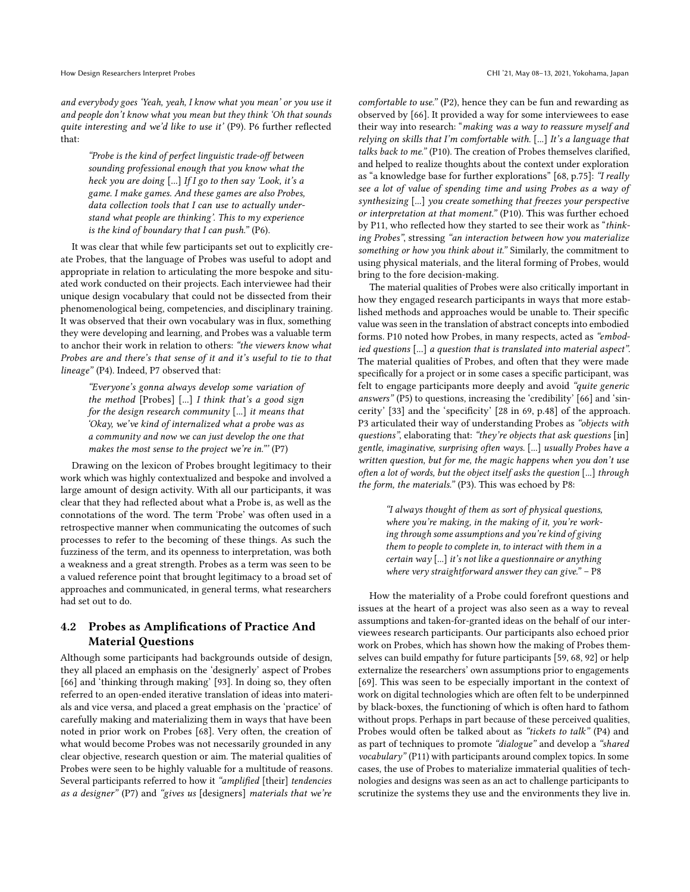and everybody goes 'Yeah, yeah, I know what you mean' or you use it and people don't know what you mean but they think 'Oh that sounds quite interesting and we'd like to use it' (P9). P6 further refected that:

"Probe is the kind of perfect linguistic trade-off between sounding professional enough that you know what the heck you are doing [...] If I go to then say 'Look, it's a game. I make games. And these games are also Probes, data collection tools that I can use to actually understand what people are thinking'. This to my experience is the kind of boundary that I can push." (P6).

It was clear that while few participants set out to explicitly create Probes, that the language of Probes was useful to adopt and appropriate in relation to articulating the more bespoke and situated work conducted on their projects. Each interviewee had their unique design vocabulary that could not be dissected from their phenomenological being, competencies, and disciplinary training. It was observed that their own vocabulary was in fux, something they were developing and learning, and Probes was a valuable term to anchor their work in relation to others: "the viewers know what Probes are and there's that sense of it and it's useful to tie to that lineage" (P4). Indeed, P7 observed that:

"Everyone's gonna always develop some variation of the method [Probes] [...] I think that's a good sign for the design research community [...] it means that 'Okay, we've kind of internalized what a probe was as a community and now we can just develop the one that makes the most sense to the project we're in."' (P7)

Drawing on the lexicon of Probes brought legitimacy to their work which was highly contextualized and bespoke and involved a large amount of design activity. With all our participants, it was clear that they had refected about what a Probe is, as well as the connotations of the word. The term 'Probe' was often used in a retrospective manner when communicating the outcomes of such processes to refer to the becoming of these things. As such the fuzziness of the term, and its openness to interpretation, was both a weakness and a great strength. Probes as a term was seen to be a valued reference point that brought legitimacy to a broad set of approaches and communicated, in general terms, what researchers had set out to do.

## 4.2 Probes as Amplifcations of Practice And Material Questions

Although some participants had backgrounds outside of design, they all placed an emphasis on the 'designerly' aspect of Probes [\[66\]](#page-13-11) and 'thinking through making' [\[93\]](#page-14-7). In doing so, they often referred to an open-ended iterative translation of ideas into materials and vice versa, and placed a great emphasis on the 'practice' of carefully making and materializing them in ways that have been noted in prior work on Probes [\[68\]](#page-13-14). Very often, the creation of what would become Probes was not necessarily grounded in any clear objective, research question or aim. The material qualities of Probes were seen to be highly valuable for a multitude of reasons. Several participants referred to how it "amplified [their] tendencies as a designer" (P7) and "gives us [designers] materials that we're

comfortable to use." (P2), hence they can be fun and rewarding as observed by [\[66\]](#page-13-11). It provided a way for some interviewees to ease their way into research: "making was a way to reassure myself and relying on skills that I'm comfortable with. [...] It's a language that talks back to me." (P10). The creation of Probes themselves clarifed, and helped to realize thoughts about the context under exploration as "a knowledge base for further explorations" [\[68,](#page-13-14) p.75]: "I really see a lot of value of spending time and using Probes as a way of synthesizing [...] you create something that freezes your perspective or interpretation at that moment." (P10). This was further echoed by P11, who refected how they started to see their work as "thinking Probes", stressing "an interaction between how you materialize something or how you think about it." Similarly, the commitment to using physical materials, and the literal forming of Probes, would bring to the fore decision-making.

The material qualities of Probes were also critically important in how they engaged research participants in ways that more established methods and approaches would be unable to. Their specifc value was seen in the translation of abstract concepts into embodied forms. P10 noted how Probes, in many respects, acted as "embodied questions [...] a question that is translated into material aspect". The material qualities of Probes, and often that they were made specifcally for a project or in some cases a specifc participant, was felt to engage participants more deeply and avoid "quite generic answers" (P5) to questions, increasing the 'credibility' [\[66\]](#page-13-11) and 'sincerity' [\[33\]](#page-12-2) and the 'specifcity' [\[28](#page-12-21) in [69,](#page-13-8) p.48] of the approach. P3 articulated their way of understanding Probes as "objects with questions", elaborating that: "they're objects that ask questions [in] gentle, imaginative, surprising often ways. [...] usually Probes have a written question, but for me, the magic happens when you don't use often a lot of words, but the object itself asks the question [...] through the form, the materials." (P3). This was echoed by P8:

> "I always thought of them as sort of physical questions, where you're making, in the making of it, you're working through some assumptions and you're kind of giving them to people to complete in, to interact with them in a certain way [...] it's not like a questionnaire or anything where very straightforward answer they can give." - P8

How the materiality of a Probe could forefront questions and issues at the heart of a project was also seen as a way to reveal assumptions and taken-for-granted ideas on the behalf of our interviewees research participants. Our participants also echoed prior work on Probes, which has shown how the making of Probes themselves can build empathy for future participants [\[59,](#page-13-29) [68,](#page-13-14) [92\]](#page-14-3) or help externalize the researchers' own assumptions prior to engagements [\[69\]](#page-13-8). This was seen to be especially important in the context of work on digital technologies which are often felt to be underpinned by black-boxes, the functioning of which is often hard to fathom without props. Perhaps in part because of these perceived qualities, Probes would often be talked about as "tickets to talk" (P4) and as part of techniques to promote "dialogue" and develop a "shared vocabulary" (P11) with participants around complex topics. In some cases, the use of Probes to materialize immaterial qualities of technologies and designs was seen as an act to challenge participants to scrutinize the systems they use and the environments they live in.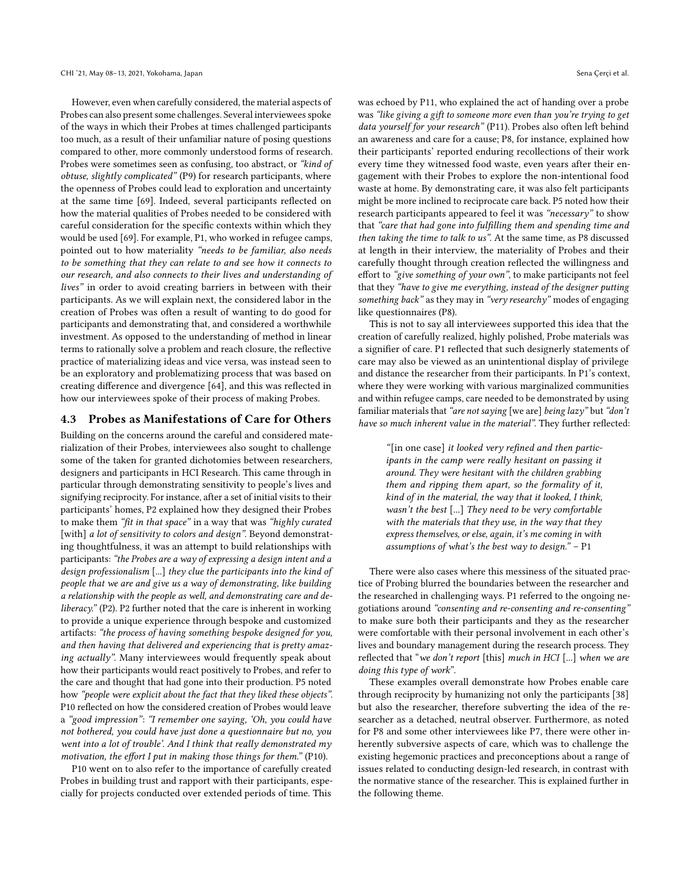However, even when carefully considered, the material aspects of Probes can also present some challenges. Several interviewees spoke of the ways in which their Probes at times challenged participants too much, as a result of their unfamiliar nature of posing questions compared to other, more commonly understood forms of research. Probes were sometimes seen as confusing, too abstract, or "kind of obtuse, slightly complicated" (P9) for research participants, where the openness of Probes could lead to exploration and uncertainty at the same time [\[69\]](#page-13-8). Indeed, several participants refected on how the material qualities of Probes needed to be considered with careful consideration for the specifc contexts within which they would be used [\[69\]](#page-13-8). For example, P1, who worked in refugee camps, pointed out to how materiality "needs to be familiar, also needs to be something that they can relate to and see how it connects to our research, and also connects to their lives and understanding of lives" in order to avoid creating barriers in between with their participants. As we will explain next, the considered labor in the creation of Probes was often a result of wanting to do good for participants and demonstrating that, and considered a worthwhile investment. As opposed to the understanding of method in linear terms to rationally solve a problem and reach closure, the refective practice of materializing ideas and vice versa, was instead seen to be an exploratory and problematizing process that was based on creating diference and divergence [\[64\]](#page-13-22), and this was refected in how our interviewees spoke of their process of making Probes.

## 4.3 Probes as Manifestations of Care for Others

Building on the concerns around the careful and considered materialization of their Probes, interviewees also sought to challenge some of the taken for granted dichotomies between researchers, designers and participants in HCI Research. This came through in particular through demonstrating sensitivity to people's lives and signifying reciprocity. For instance, after a set of initial visits to their participants' homes, P2 explained how they designed their Probes to make them "ft in that space" in a way that was "highly curated [with] a lot of sensitivity to colors and design". Beyond demonstrating thoughtfulness, it was an attempt to build relationships with participants: "the Probes are a way of expressing a design intent and a design professionalism [...] they clue the participants into the kind of people that we are and give us a way of demonstrating, like building a relationship with the people as well, and demonstrating care and deliberacy." (P2). P2 further noted that the care is inherent in working to provide a unique experience through bespoke and customized artifacts: "the process of having something bespoke designed for you, and then having that delivered and experiencing that is pretty amazing actually". Many interviewees would frequently speak about how their participants would react positively to Probes, and refer to the care and thought that had gone into their production. P5 noted how "people were explicit about the fact that they liked these objects". P10 reflected on how the considered creation of Probes would leave a "good impression": "I remember one saying, 'Oh, you could have not bothered, you could have just done a questionnaire but no, you went into a lot of trouble'. And I think that really demonstrated my motivation, the effort I put in making those things for them." (P10).

P10 went on to also refer to the importance of carefully created Probes in building trust and rapport with their participants, especially for projects conducted over extended periods of time. This was echoed by P11, who explained the act of handing over a probe was "like giving a gift to someone more even than you're trying to get data yourself for your research" (P11). Probes also often left behind an awareness and care for a cause; P8, for instance, explained how their participants' reported enduring recollections of their work every time they witnessed food waste, even years after their engagement with their Probes to explore the non-intentional food waste at home. By demonstrating care, it was also felt participants might be more inclined to reciprocate care back. P5 noted how their research participants appeared to feel it was "necessary" to show that "care that had gone into fulflling them and spending time and then taking the time to talk to us". At the same time, as P8 discussed at length in their interview, the materiality of Probes and their carefully thought through creation refected the willingness and efort to "give something of your own", to make participants not feel that they "have to give me everything, instead of the designer putting something back" as they may in "very researchy" modes of engaging like questionnaires (P8).

This is not to say all interviewees supported this idea that the creation of carefully realized, highly polished, Probe materials was a signifer of care. P1 refected that such designerly statements of care may also be viewed as an unintentional display of privilege and distance the researcher from their participants. In P1's context, where they were working with various marginalized communities and within refugee camps, care needed to be demonstrated by using familiar materials that "are not saying [we are] being lazy" but "don't have so much inherent value in the material". They further reflected:

> "[in one case] it looked very refned and then participants in the camp were really hesitant on passing it around. They were hesitant with the children grabbing them and ripping them apart, so the formality of it, kind of in the material, the way that it looked, I think, wasn't the best [...] They need to be very comfortable with the materials that they use, in the way that they express themselves, or else, again, it's me coming in with assumptions of what's the best way to design."  $- P1$

There were also cases where this messiness of the situated practice of Probing blurred the boundaries between the researcher and the researched in challenging ways. P1 referred to the ongoing negotiations around "consenting and re-consenting and re-consenting" to make sure both their participants and they as the researcher were comfortable with their personal involvement in each other's lives and boundary management during the research process. They reflected that "we don't report [this] much in HCI [...] when we are doing this type of work".

These examples overall demonstrate how Probes enable care through reciprocity by humanizing not only the participants [\[38\]](#page-13-9) but also the researcher, therefore subverting the idea of the researcher as a detached, neutral observer. Furthermore, as noted for P8 and some other interviewees like P7, there were other inherently subversive aspects of care, which was to challenge the existing hegemonic practices and preconceptions about a range of issues related to conducting design-led research, in contrast with the normative stance of the researcher. This is explained further in the following theme.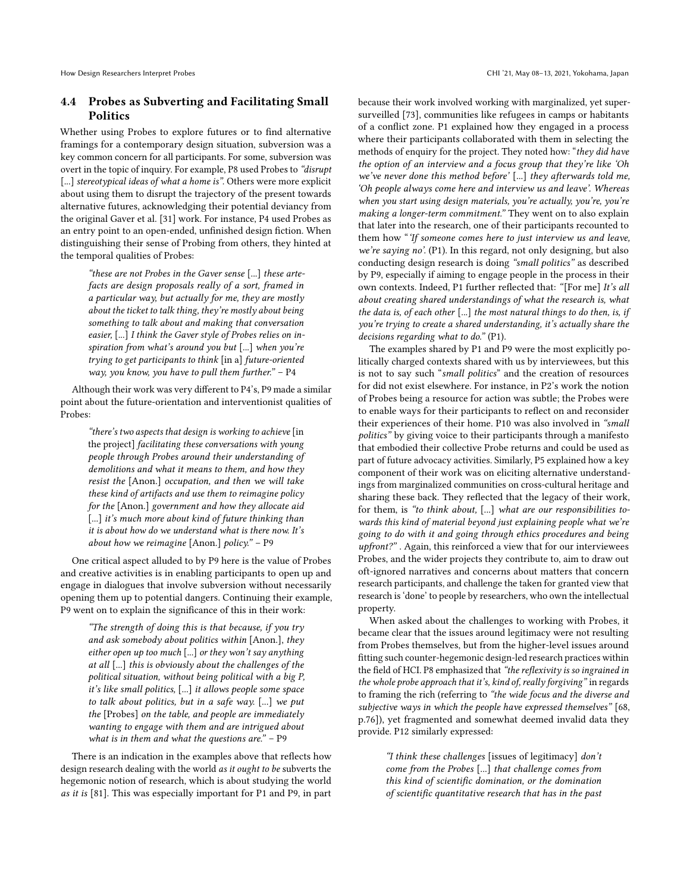## 4.4 Probes as Subverting and Facilitating Small Politics

Whether using Probes to explore futures or to fnd alternative framings for a contemporary design situation, subversion was a key common concern for all participants. For some, subversion was overt in the topic of inquiry. For example, P8 used Probes to "disrupt [...] stereotypical ideas of what a home is". Others were more explicit about using them to disrupt the trajectory of the present towards alternative futures, acknowledging their potential deviancy from the original Gaver et al. [\[31\]](#page-12-0) work. For instance, P4 used Probes as an entry point to an open-ended, unfinished design fiction. When distinguishing their sense of Probing from others, they hinted at the temporal qualities of Probes:

"these are not Probes in the Gaver sense [...] these artefacts are design proposals really of a sort, framed in a particular way, but actually for me, they are mostly about the ticket to talk thing, they're mostly about being something to talk about and making that conversation easier, [...] I think the Gaver style of Probes relies on inspiration from what's around you but [...] when you're trying to get participants to think [in a] future-oriented way, you know, you have to pull them further."  $- P4$ 

Although their work was very diferent to P4's, P9 made a similar point about the future-orientation and interventionist qualities of Probes:

"there's two aspects that design is working to achieve [in the project] facilitating these conversations with young people through Probes around their understanding of demolitions and what it means to them, and how they resist the [Anon.] occupation, and then we will take these kind of artifacts and use them to reimagine policy for the [Anon.] government and how they allocate aid [...] it's much more about kind of future thinking than it is about how do we understand what is there now. It's about how we reimagine [Anon.] policy." – P9

One critical aspect alluded to by P9 here is the value of Probes and creative activities is in enabling participants to open up and engage in dialogues that involve subversion without necessarily opening them up to potential dangers. Continuing their example, P9 went on to explain the signifcance of this in their work:

"The strength of doing this is that because, if you try and ask somebody about politics within [Anon.], they either open up too much [...] or they won't say anything at all [...] this is obviously about the challenges of the political situation, without being political with a big P, it's like small politics, [...] it allows people some space to talk about politics, but in a safe way. [...] we put the [Probes] on the table, and people are immediately wanting to engage with them and are intrigued about what is in them and what the questions are."  $- P9$ 

There is an indication in the examples above that refects how design research dealing with the world as it ought to be subverts the hegemonic notion of research, which is about studying the world as it is [\[81\]](#page-13-16). This was especially important for P1 and P9, in part

because their work involved working with marginalized, yet supersurveilled [\[73\]](#page-13-30), communities like refugees in camps or habitants of a confict zone. P1 explained how they engaged in a process where their participants collaborated with them in selecting the methods of enquiry for the project. They noted how: "they did have the option of an interview and a focus group that they're like 'Oh we've never done this method before' [...] they afterwards told me, 'Oh people always come here and interview us and leave'. Whereas when you start using design materials, you're actually, you're, you're making a longer-term commitment." They went on to also explain that later into the research, one of their participants recounted to them how "'If someone comes here to just interview us and leave, we're saying no'. (P1). In this regard, not only designing, but also conducting design research is doing "small politics" as described by P9, especially if aiming to engage people in the process in their own contexts. Indeed, P1 further refected that: "[For me] It's all about creating shared understandings of what the research is, what the data is, of each other [...] the most natural things to do then, is, if you're trying to create a shared understanding, it's actually share the decisions regarding what to do." (P1).

The examples shared by P1 and P9 were the most explicitly politically charged contexts shared with us by interviewees, but this is not to say such "small politics" and the creation of resources for did not exist elsewhere. For instance, in P2's work the notion of Probes being a resource for action was subtle; the Probes were to enable ways for their participants to refect on and reconsider their experiences of their home. P10 was also involved in "small politics" by giving voice to their participants through a manifesto that embodied their collective Probe returns and could be used as part of future advocacy activities. Similarly, P5 explained how a key component of their work was on eliciting alternative understandings from marginalized communities on cross-cultural heritage and sharing these back. They refected that the legacy of their work, for them, is "to think about, [...] what are our responsibilities towards this kind of material beyond just explaining people what we're going to do with it and going through ethics procedures and being upfront?". Again, this reinforced a view that for our interviewees Probes, and the wider projects they contribute to, aim to draw out oft-ignored narratives and concerns about matters that concern research participants, and challenge the taken for granted view that research is'done' to people by researchers, who own the intellectual property.

When asked about the challenges to working with Probes, it became clear that the issues around legitimacy were not resulting from Probes themselves, but from the higher-level issues around ftting such counter-hegemonic design-led research practices within the field of HCI. P8 emphasized that "the reflexivity is so ingrained in the whole probe approach that it's, kind of, really forgiving" in regards to framing the rich (referring to "the wide focus and the diverse and subjective ways in which the people have expressed themselves" [\[68,](#page-13-14) p.76]), yet fragmented and somewhat deemed invalid data they provide. P12 similarly expressed:

> "I think these challenges [issues of legitimacy] don't come from the Probes [...] that challenge comes from this kind of scientifc domination, or the domination of scientifc quantitative research that has in the past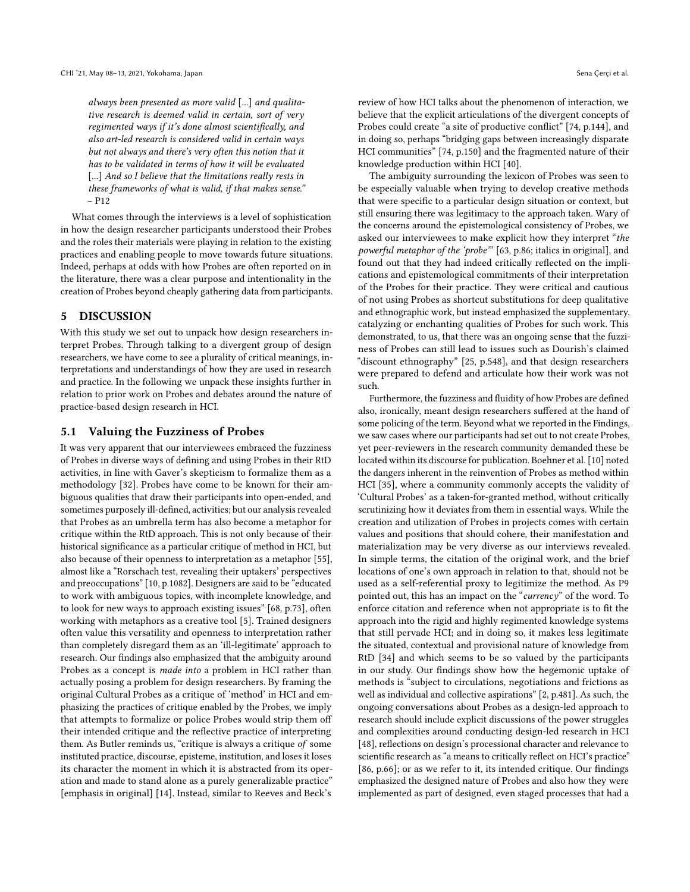always been presented as more valid [...] and qualitative research is deemed valid in certain, sort of very regimented ways if it's done almost scientifcally, and also art-led research is considered valid in certain ways but not always and there's very often this notion that it has to be validated in terms of how it will be evaluated [...] And so I believe that the limitations really rests in these frameworks of what is valid, if that makes sense." – P12

What comes through the interviews is a level of sophistication in how the design researcher participants understood their Probes and the roles their materials were playing in relation to the existing practices and enabling people to move towards future situations. Indeed, perhaps at odds with how Probes are often reported on in the literature, there was a clear purpose and intentionality in the creation of Probes beyond cheaply gathering data from participants.

# 5 DISCUSSION

With this study we set out to unpack how design researchers interpret Probes. Through talking to a divergent group of design researchers, we have come to see a plurality of critical meanings, interpretations and understandings of how they are used in research and practice. In the following we unpack these insights further in relation to prior work on Probes and debates around the nature of practice-based design research in HCI.

#### 5.1 Valuing the Fuzziness of Probes

It was very apparent that our interviewees embraced the fuzziness of Probes in diverse ways of defning and using Probes in their RtD activities, in line with Gaver's skepticism to formalize them as a methodology [\[32\]](#page-12-3). Probes have come to be known for their ambiguous qualities that draw their participants into open-ended, and sometimes purposely ill-defined, activities; but our analysis revealed that Probes as an umbrella term has also become a metaphor for critique within the RtD approach. This is not only because of their historical signifcance as a particular critique of method in HCI, but also because of their openness to interpretation as a metaphor [\[55\]](#page-13-31), almost like a "Rorschach test, revealing their uptakers' perspectives and preoccupations" [\[10,](#page-12-8) p.1082]. Designers are said to be "educated to work with ambiguous topics, with incomplete knowledge, and to look for new ways to approach existing issues" [\[68,](#page-13-14) p.73], often working with metaphors as a creative tool [\[5\]](#page-12-22). Trained designers often value this versatility and openness to interpretation rather than completely disregard them as an 'ill-legitimate' approach to research. Our fndings also emphasized that the ambiguity around Probes as a concept is made into a problem in HCI rather than actually posing a problem for design researchers. By framing the original Cultural Probes as a critique of 'method' in HCI and emphasizing the practices of critique enabled by the Probes, we imply that attempts to formalize or police Probes would strip them of their intended critique and the refective practice of interpreting them. As Butler reminds us, "critique is always a critique of some instituted practice, discourse, episteme, institution, and loses it loses its character the moment in which it is abstracted from its operation and made to stand alone as a purely generalizable practice" [emphasis in original] [\[14\]](#page-12-23). Instead, similar to Reeves and Beck's

review of how HCI talks about the phenomenon of interaction, we believe that the explicit articulations of the divergent concepts of Probes could create "a site of productive confict" [\[74,](#page-13-32) p.144], and in doing so, perhaps "bridging gaps between increasingly disparate HCI communities" [\[74,](#page-13-32) p.150] and the fragmented nature of their knowledge production within HCI [\[40\]](#page-13-33).

The ambiguity surrounding the lexicon of Probes was seen to be especially valuable when trying to develop creative methods that were specifc to a particular design situation or context, but still ensuring there was legitimacy to the approach taken. Wary of the concerns around the epistemological consistency of Probes, we asked our interviewees to make explicit how they interpret "the powerful metaphor of the 'probe'" [\[63,](#page-13-6) p.86; italics in original], and found out that they had indeed critically refected on the implications and epistemological commitments of their interpretation of the Probes for their practice. They were critical and cautious of not using Probes as shortcut substitutions for deep qualitative and ethnographic work, but instead emphasized the supplementary, catalyzing or enchanting qualities of Probes for such work. This demonstrated, to us, that there was an ongoing sense that the fuzziness of Probes can still lead to issues such as Dourish's claimed "discount ethnography" [\[25,](#page-12-9) p.548], and that design researchers were prepared to defend and articulate how their work was not such.

Furthermore, the fuzziness and fuidity of how Probes are defned also, ironically, meant design researchers sufered at the hand of some policing of the term. Beyond what we reported in the Findings, we saw cases where our participants had set out to not create Probes, yet peer-reviewers in the research community demanded these be located within its discourse for publication. Boehner et al. [\[10\]](#page-12-8) noted the dangers inherent in the reinvention of Probes as method within HCI [\[35\]](#page-13-17), where a community commonly accepts the validity of 'Cultural Probes' as a taken-for-granted method, without critically scrutinizing how it deviates from them in essential ways. While the creation and utilization of Probes in projects comes with certain values and positions that should cohere, their manifestation and materialization may be very diverse as our interviews revealed. In simple terms, the citation of the original work, and the brief locations of one's own approach in relation to that, should not be used as a self-referential proxy to legitimize the method. As P9 pointed out, this has an impact on the "currency" of the word. To enforce citation and reference when not appropriate is to ft the approach into the rigid and highly regimented knowledge systems that still pervade HCI; and in doing so, it makes less legitimate the situated, contextual and provisional nature of knowledge from RtD [\[34\]](#page-12-12) and which seems to be so valued by the participants in our study. Our fndings show how the hegemonic uptake of methods is "subject to circulations, negotiations and frictions as well as individual and collective aspirations" [\[2,](#page-12-24) p.481]. As such, the ongoing conversations about Probes as a design-led approach to research should include explicit discussions of the power struggles and complexities around conducting design-led research in HCI [\[48\]](#page-13-15), reflections on design's processional character and relevance to scientifc research as "a means to critically refect on HCI's practice" [\[86,](#page-14-8) p.66]; or as we refer to it, its intended critique. Our fndings emphasized the designed nature of Probes and also how they were implemented as part of designed, even staged processes that had a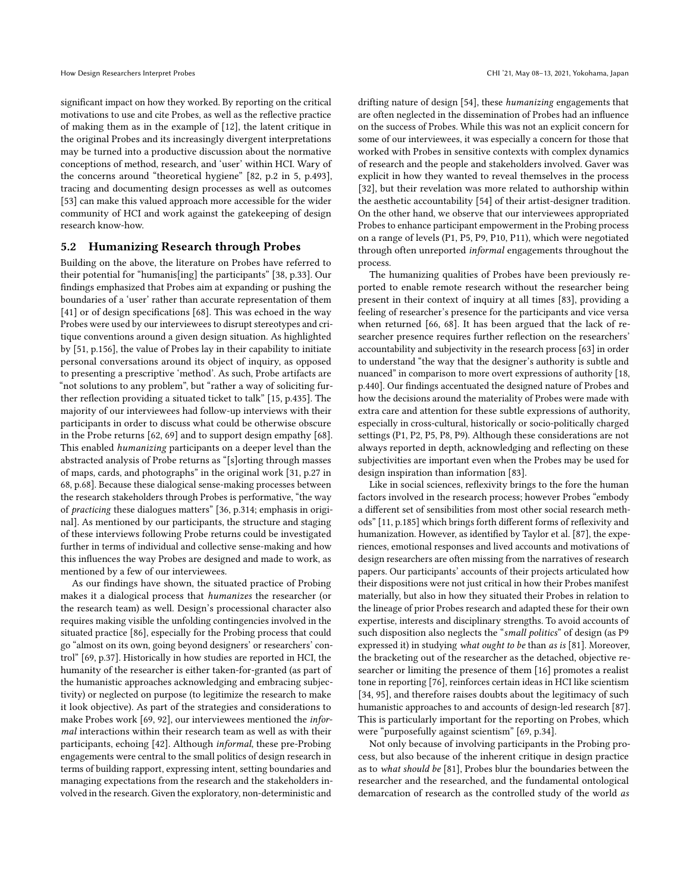signifcant impact on how they worked. By reporting on the critical motivations to use and cite Probes, as well as the refective practice of making them as in the example of [\[12\]](#page-12-25), the latent critique in the original Probes and its increasingly divergent interpretations may be turned into a productive discussion about the normative conceptions of method, research, and 'user' within HCI. Wary of the concerns around "theoretical hygiene" [\[82,](#page-13-34) p.2 in [5,](#page-12-22) p.493], tracing and documenting design processes as well as outcomes [\[53\]](#page-13-35) can make this valued approach more accessible for the wider community of HCI and work against the gatekeeping of design research know-how.

## 5.2 Humanizing Research through Probes

Building on the above, the literature on Probes have referred to their potential for "humanis[ing] the participants" [\[38,](#page-13-9) p.33]. Our fndings emphasized that Probes aim at expanding or pushing the boundaries of a 'user' rather than accurate representation of them [\[41\]](#page-13-13) or of design specifications [\[68\]](#page-13-14). This was echoed in the way Probes were used by our interviewees to disrupt stereotypes and critique conventions around a given design situation. As highlighted by [\[51,](#page-13-36) p.156], the value of Probes lay in their capability to initiate personal conversations around its object of inquiry, as opposed to presenting a prescriptive 'method'. As such, Probe artifacts are "not solutions to any problem", but "rather a way of soliciting further refection providing a situated ticket to talk" [\[15,](#page-12-26) p.435]. The majority of our interviewees had follow-up interviews with their participants in order to discuss what could be otherwise obscure in the Probe returns [\[62,](#page-13-10) [69\]](#page-13-8) and to support design empathy [\[68\]](#page-13-14). This enabled humanizing participants on a deeper level than the abstracted analysis of Probe returns as "[s]orting through masses of maps, cards, and photographs" in the original work [\[31,](#page-12-0) p.27 in [68,](#page-13-14) p.68]. Because these dialogical sense-making processes between the research stakeholders through Probes is performative, "the way of practicing these dialogues matters" [\[36,](#page-13-37) p.314; emphasis in original]. As mentioned by our participants, the structure and staging of these interviews following Probe returns could be investigated further in terms of individual and collective sense-making and how this infuences the way Probes are designed and made to work, as mentioned by a few of our interviewees.

As our fndings have shown, the situated practice of Probing makes it a dialogical process that humanizes the researcher (or the research team) as well. Design's processional character also requires making visible the unfolding contingencies involved in the situated practice [\[86\]](#page-14-8), especially for the Probing process that could go "almost on its own, going beyond designers' or researchers' control" [\[69,](#page-13-8) p.37]. Historically in how studies are reported in HCI, the humanity of the researcher is either taken-for-granted (as part of the humanistic approaches acknowledging and embracing subjectivity) or neglected on purpose (to legitimize the research to make it look objective). As part of the strategies and considerations to make Probes work [\[69,](#page-13-8) [92\]](#page-14-3), our interviewees mentioned the informal interactions within their research team as well as with their participants, echoing [\[42\]](#page-13-38). Although informal, these pre-Probing engagements were central to the small politics of design research in terms of building rapport, expressing intent, setting boundaries and managing expectations from the research and the stakeholders involved in the research. Given the exploratory, non-deterministic and

drifting nature of design [\[54\]](#page-13-39), these humanizing engagements that are often neglected in the dissemination of Probes had an infuence on the success of Probes. While this was not an explicit concern for some of our interviewees, it was especially a concern for those that worked with Probes in sensitive contexts with complex dynamics of research and the people and stakeholders involved. Gaver was explicit in how they wanted to reveal themselves in the process [\[32\]](#page-12-3), but their revelation was more related to authorship within the aesthetic accountability [\[54\]](#page-13-39) of their artist-designer tradition. On the other hand, we observe that our interviewees appropriated Probes to enhance participant empowerment in the Probing process on a range of levels (P1, P5, P9, P10, P11), which were negotiated through often unreported informal engagements throughout the process.

The humanizing qualities of Probes have been previously reported to enable remote research without the researcher being present in their context of inquiry at all times [\[83\]](#page-13-40), providing a feeling of researcher's presence for the participants and vice versa when returned [\[66,](#page-13-11) [68\]](#page-13-14). It has been argued that the lack of researcher presence requires further refection on the researchers' accountability and subjectivity in the research process [\[63\]](#page-13-6) in order to understand "the way that the designer's authority is subtle and nuanced" in comparison to more overt expressions of authority [\[18,](#page-12-27) p.440]. Our fndings accentuated the designed nature of Probes and how the decisions around the materiality of Probes were made with extra care and attention for these subtle expressions of authority, especially in cross-cultural, historically or socio-politically charged settings (P1, P2, P5, P8, P9). Although these considerations are not always reported in depth, acknowledging and refecting on these subjectivities are important even when the Probes may be used for design inspiration than information [\[83\]](#page-13-40).

Like in social sciences, refexivity brings to the fore the human factors involved in the research process; however Probes "embody a diferent set of sensibilities from most other social research methods" [\[11,](#page-12-28) p.185] which brings forth diferent forms of refexivity and humanization. However, as identifed by Taylor et al. [\[87\]](#page-14-9), the experiences, emotional responses and lived accounts and motivations of design researchers are often missing from the narratives of research papers. Our participants' accounts of their projects articulated how their dispositions were not just critical in how their Probes manifest materially, but also in how they situated their Probes in relation to the lineage of prior Probes research and adapted these for their own expertise, interests and disciplinary strengths. To avoid accounts of such disposition also neglects the "small politics" of design (as P9 expressed it) in studying what ought to be than as is [\[81\]](#page-13-16). Moreover, the bracketing out of the researcher as the detached, objective researcher or limiting the presence of them [\[16\]](#page-12-17) promotes a realist tone in reporting [\[76\]](#page-13-41), reinforces certain ideas in HCI like scientism [\[34,](#page-12-12) [95\]](#page-14-10), and therefore raises doubts about the legitimacy of such humanistic approaches to and accounts of design-led research [\[87\]](#page-14-9). This is particularly important for the reporting on Probes, which were "purposefully against scientism" [\[69,](#page-13-8) p.34].

Not only because of involving participants in the Probing process, but also because of the inherent critique in design practice as to what should be [\[81\]](#page-13-16), Probes blur the boundaries between the researcher and the researched, and the fundamental ontological demarcation of research as the controlled study of the world as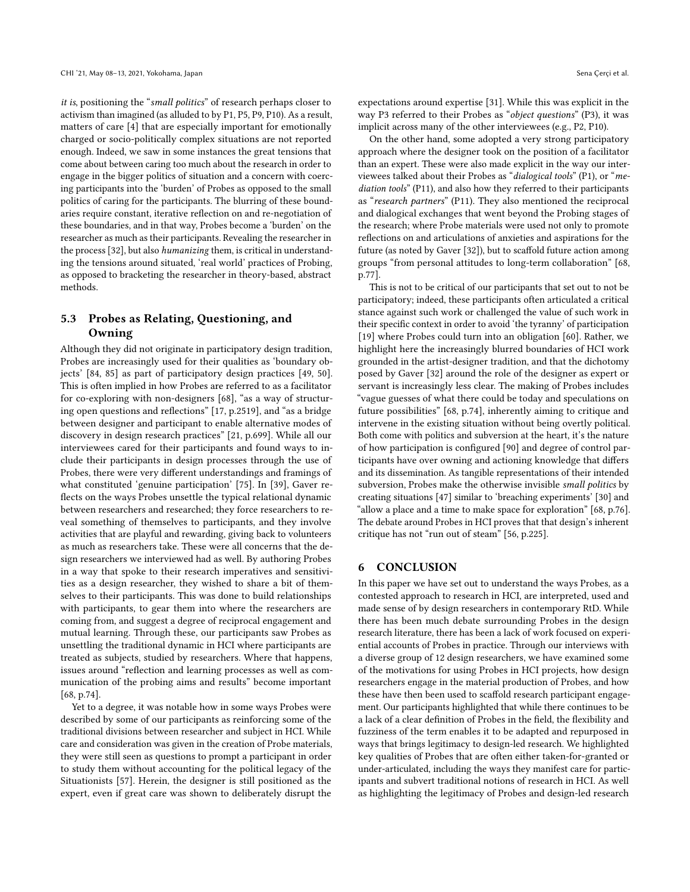it is, positioning the "small politics" of research perhaps closer to activism than imagined (as alluded to by P1, P5, P9, P10). As a result, matters of care [\[4\]](#page-12-29) that are especially important for emotionally charged or socio-politically complex situations are not reported enough. Indeed, we saw in some instances the great tensions that come about between caring too much about the research in order to engage in the bigger politics of situation and a concern with coercing participants into the 'burden' of Probes as opposed to the small politics of caring for the participants. The blurring of these boundaries require constant, iterative refection on and re-negotiation of these boundaries, and in that way, Probes become a 'burden' on the researcher as much astheir participants. Revealing the researcher in the process [\[32\]](#page-12-3), but also humanizing them, is critical in understanding the tensions around situated, 'real world' practices of Probing, as opposed to bracketing the researcher in theory-based, abstract methods.

# 5.3 Probes as Relating, Questioning, and Owning

Although they did not originate in participatory design tradition, Probes are increasingly used for their qualities as 'boundary objects' [\[84,](#page-14-11) [85\]](#page-14-12) as part of participatory design practices [\[49,](#page-13-42) [50\]](#page-13-43). This is often implied in how Probes are referred to as a facilitator for co-exploring with non-designers [\[68\]](#page-13-14), "as a way of structuring open questions and refections" [\[17,](#page-12-30) p.2519], and "as a bridge between designer and participant to enable alternative modes of discovery in design research practices" [\[21,](#page-12-31) p.699]. While all our interviewees cared for their participants and found ways to include their participants in design processes through the use of Probes, there were very diferent understandings and framings of what constituted 'genuine participation' [\[75\]](#page-13-44). In [\[39\]](#page-13-45), Gaver refects on the ways Probes unsettle the typical relational dynamic between researchers and researched; they force researchers to reveal something of themselves to participants, and they involve activities that are playful and rewarding, giving back to volunteers as much as researchers take. These were all concerns that the design researchers we interviewed had as well. By authoring Probes in a way that spoke to their research imperatives and sensitivities as a design researcher, they wished to share a bit of themselves to their participants. This was done to build relationships with participants, to gear them into where the researchers are coming from, and suggest a degree of reciprocal engagement and mutual learning. Through these, our participants saw Probes as unsettling the traditional dynamic in HCI where participants are treated as subjects, studied by researchers. Where that happens, issues around "refection and learning processes as well as communication of the probing aims and results" become important [\[68,](#page-13-14) p[.74\]](#page-13-32).

Yet to a degree, it was notable how in some ways Probes were described by some of our participants as reinforcing some of the traditional divisions between researcher and subject in HCI. While care and consideration was given in the creation of Probe materials, they were still seen as questions to prompt a participant in order to study them without accounting for the political legacy of the Situationists [\[57\]](#page-13-46). Herein, the designer is still positioned as the expert, even if great care was shown to deliberately disrupt the

expectations around expertise [\[31\]](#page-12-0). While this was explicit in the way P3 referred to their Probes as "object questions" (P3), it was implicit across many of the other interviewees (e.g., P2, P10).

On the other hand, some adopted a very strong participatory approach where the designer took on the position of a facilitator than an expert. These were also made explicit in the way our interviewees talked about their Probes as "dialogical tools" (P1), or "mediation tools" (P11), and also how they referred to their participants as "research partners" (P11). They also mentioned the reciprocal and dialogical exchanges that went beyond the Probing stages of the research; where Probe materials were used not only to promote refections on and articulations of anxieties and aspirations for the future (as noted by Gaver [\[32\]](#page-12-3)), but to scaffold future action among groups "from personal attitudes to long-term collaboration" [\[68,](#page-13-14) p.77].

This is not to be critical of our participants that set out to not be participatory; indeed, these participants often articulated a critical stance against such work or challenged the value of such work in their specifc context in order to avoid 'the tyranny' of participation [\[19\]](#page-12-32) where Probes could turn into an obligation [\[60\]](#page-13-47). Rather, we highlight here the increasingly blurred boundaries of HCI work grounded in the artist-designer tradition, and that the dichotomy posed by Gaver [\[32\]](#page-12-3) around the role of the designer as expert or servant is increasingly less clear. The making of Probes includes "vague guesses of what there could be today and speculations on future possibilities" [\[68,](#page-13-14) p.74], inherently aiming to critique and intervene in the existing situation without being overtly political. Both come with politics and subversion at the heart, it's the nature of how participation is confgured [\[90\]](#page-14-13) and degree of control participants have over owning and actioning knowledge that difers and its dissemination. As tangible representations of their intended subversion, Probes make the otherwise invisible small politics by creating situations [\[47\]](#page-13-5) similar to 'breaching experiments' [\[30\]](#page-12-33) and "allow a place and a time to make space for exploration" [\[68,](#page-13-14) p.76]. The debate around Probes in HCI proves that that design's inherent critique has not "run out of steam" [\[56,](#page-13-48) p.225].

## 6 CONCLUSION

In this paper we have set out to understand the ways Probes, as a contested approach to research in HCI, are interpreted, used and made sense of by design researchers in contemporary RtD. While there has been much debate surrounding Probes in the design research literature, there has been a lack of work focused on experiential accounts of Probes in practice. Through our interviews with a diverse group of 12 design researchers, we have examined some of the motivations for using Probes in HCI projects, how design researchers engage in the material production of Probes, and how these have then been used to scafold research participant engagement. Our participants highlighted that while there continues to be a lack of a clear defnition of Probes in the feld, the fexibility and fuzziness of the term enables it to be adapted and repurposed in ways that brings legitimacy to design-led research. We highlighted key qualities of Probes that are often either taken-for-granted or under-articulated, including the ways they manifest care for participants and subvert traditional notions of research in HCI. As well as highlighting the legitimacy of Probes and design-led research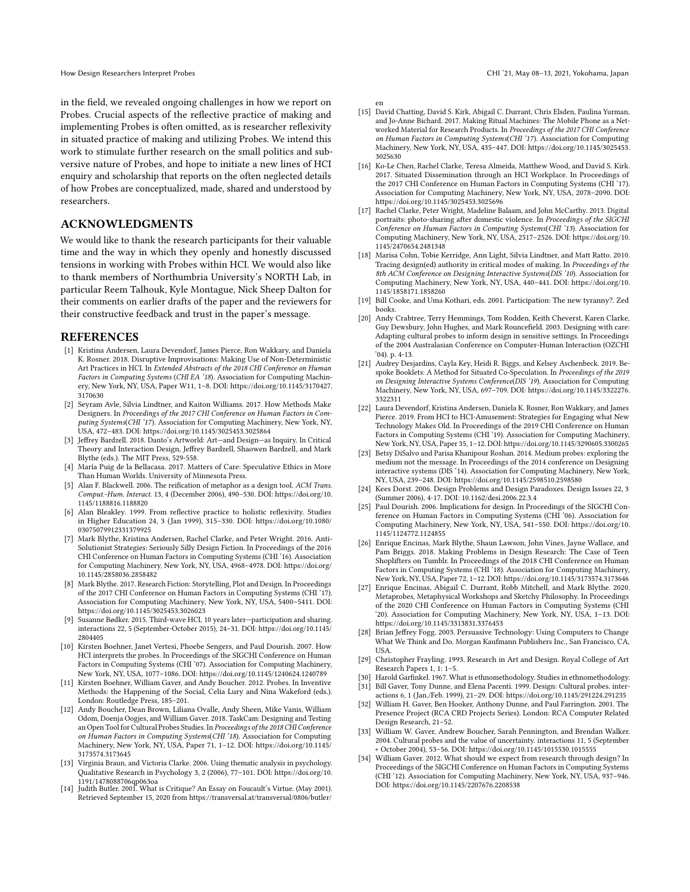in the feld, we revealed ongoing challenges in how we report on Probes. Crucial aspects of the reflective practice of making and implementing Probes is often omitted, as is researcher refexivity in situated practice of making and utilizing Probes. We intend this work to stimulate further research on the small politics and subversive nature of Probes, and hope to initiate a new lines of HCI enquiry and scholarship that reports on the often neglected details of how Probes are conceptualized, made, shared and understood by researchers.

## ACKNOWLEDGMENTS

We would like to thank the research participants for their valuable time and the way in which they openly and honestly discussed tensions in working with Probes within HCI. We would also like to thank members of Northumbria University's NORTH Lab, in particular Reem Talhouk, Kyle Montague, Nick Sheep Dalton for their comments on earlier drafts of the paper and the reviewers for their constructive feedback and trust in the paper's message.

#### REFERENCES

- <span id="page-12-13"></span>[1] Kristina Andersen, Laura Devendorf, James Pierce, Ron Wakkary, and Daniela K. Rosner. 2018. Disruptive Improvisations: Making Use of Non-Deterministic Art Practices in HCI. In Extended Abstracts of the 2018 CHI Conference on Human Factors in Computing Systems (CHI EA '18). Association for Computing Machinery, New York, NY, USA, Paper W11, 1–8. DOI: [https://doi.org/10.1145/3170427.](https://doi.org/10.1145/3170427.3170630) [3170630](https://doi.org/10.1145/3170427.3170630)
- <span id="page-12-24"></span>[2] Seyram Avle, Silvia Lindtner, and Kaiton Williams. 2017. How Methods Make Designers. In Proceedings of the 2017 CHI Conference on Human Factors in Computing Systems(CHI '17). Association for Computing Machinery, New York, NY, USA, 472–483. DOI: <https://doi.org/10.1145/3025453.3025864>
- <span id="page-12-11"></span>[3] Jefrey Bardzell. 2018. Danto's Artworld: Art—and Design—as Inquiry. In Critical Theory and Interaction Design, Jefrey Bardzell, Shaowen Bardzell, and Mark Blythe (eds.). The MIT Press, 529-558.
- <span id="page-12-29"></span>[4] María Puig de la Bellacasa. 2017. Matters of Care: Speculative Ethics in More Than Human Worlds. University of Minnesota Press.
- <span id="page-12-22"></span>[5] Alan F. Blackwell. 2006. The reifcation of metaphor as a design tool. ACM Trans. Comput.-Hum. Interact. 13, 4 (December 2006), 490–530. DOI: [https://doi.org/10.](https://doi.org/10.1145/1188816.1188820) [1145/1188816.1188820](https://doi.org/10.1145/1188816.1188820)
- <span id="page-12-18"></span>[6] Alan Bleakley. 1999. From reflective practice to holistic reflexivity. Studies in Higher Education 24, 3 (Jan 1999), 315–330. DOI: [https://doi.org/10.1080/](https://doi.org/10.1080/03075079912331379925) [03075079912331379925](https://doi.org/10.1080/03075079912331379925)
- <span id="page-12-14"></span>[7] Mark Blythe, Kristina Andersen, Rachel Clarke, and Peter Wright, 2016, Anti-Solutionist Strategies: Seriously Silly Design Fiction. In Proceedings of the 2016 CHI Conference on Human Factors in Computing Systems (CHI '16). Association for Computing Machinery, New York, NY, USA, 4968–4978. DOI: [https://doi.org/](https://doi.org/10.1145/2858036.2858482) [10.1145/2858036.2858482](https://doi.org/10.1145/2858036.2858482)
- <span id="page-12-15"></span>[8] Mark Blythe. 2017. Research Fiction: Storytelling, Plot and Design. In Proceedings of the 2017 CHI Conference on Human Factors in Computing Systems (CHI '17). Association for Computing Machinery, New York, NY, USA, 5400–5411. DOI: <https://doi.org/10.1145/3025453.3026023>
- <span id="page-12-10"></span>[9] Susanne Bødker. 2015. Third-wave HCI, 10 years later—participation and sharing. interactions 22, 5 (September-October 2015), 24–31. DOI: [https://doi.org/10.1145/](https://doi.org/10.1145/2804405) [2804405](https://doi.org/10.1145/2804405)
- <span id="page-12-8"></span>[10] Kirsten Boehner, Janet Vertesi, Phoebe Sengers, and Paul Dourish. 2007. How HCI interprets the probes. In Proceedings of the SIGCHI Conference on Human Factors in Computing Systems (CHI '07). Association for Computing Machinery, New York, NY, USA, 1077–1086. DOI: <https://doi.org/10.1145/1240624.1240789>
- <span id="page-12-28"></span>[11] Kirsten Boehner, William Gaver, and Andy Boucher. 2012. Probes. In Inventive Methods: the Happening of the Social, Celia Lury and Nina Wakeford (eds.). London: Routledge Press, 185–201.
- <span id="page-12-25"></span>[12] Andy Boucher, Dean Brown, Liliana Ovalle, Andy Sheen, Mike Vanis, William Odom, Doenja Oogjes, and William Gaver. 2018. TaskCam: Designing and Testing an Open Tool for Cultural Probes Studies. In Proceedings of the 2018 CHI Conference on Human Factors in Computing Systems(CHI '18). Association for Computing Machinery, New York, NY, USA, Paper 71, 1–12. DOI: [https://doi.org/10.1145/](https://doi.org/10.1145/3173574.3173645) [3173574.3173645](https://doi.org/10.1145/3173574.3173645)
- <span id="page-12-20"></span>[13] Virginia Braun, and Victoria Clarke. 2006. Using thematic analysis in psychology. Qualitative Research in Psychology 3, 2 (2006), 77–101. DOI: [https://doi.org/10.](https://doi.org/10.1191/1478088706qp063oa) [1191/1478088706qp063oa](https://doi.org/10.1191/1478088706qp063oa) [14] Judith Butler. 2001. What is Critique? An Essay on Foucault's Virtue. (May 2001).
- <span id="page-12-23"></span>Retrieved September 15, 2020 from [https://transversal.at/transversal/0806/butler/](https://transversal.at/transversal/0806/butler/en)

- <span id="page-12-26"></span>[en](https://transversal.at/transversal/0806/butler/en) [15] David Chatting, David S. Kirk, Abigail C. Durrant, Chris Elsden, Paulina Yurman, and Jo-Anne Bichard. 2017. Making Ritual Machines: The Mobile Phone as a Networked Material for Research Products. In Proceedings of the 2017 CHI Conference on Human Factors in Computing Systems(CHI '17). Association for Computing Machinery, New York, NY, USA, 435–447. DOI: [https://doi.org/10.1145/3025453.](https://doi.org/10.1145/3025453.3025630) [3025630](https://doi.org/10.1145/3025453.3025630)
- <span id="page-12-17"></span>[16] Ko-Le Chen, Rachel Clarke, Teresa Almeida, Matthew Wood, and David S. Kirk. 2017. Situated Dissemination through an HCI Workplace. In Proceedings of the 2017 CHI Conference on Human Factors in Computing Systems (CHI '17). Association for Computing Machinery, New York, NY, USA, 2078–2090. DOI: <https://doi.org/10.1145/3025453.3025696>
- <span id="page-12-30"></span>[17] Rachel Clarke, Peter Wright, Madeline Balaam, and John McCarthy. 2013. Digital portraits: photo-sharing after domestic violence. In Proceedings of the SIGCHI Conference on Human Factors in Computing Systems(CHI '13). Association for Computing Machinery, New York, NY, USA, 2517–2526. DOI: [https://doi.org/10.](https://doi.org/10.1145/2470654.2481348) [1145/2470654.2481348](https://doi.org/10.1145/2470654.2481348)
- <span id="page-12-27"></span>[18] Marisa Cohn, Tobie Kerridge, Ann Light, Silvia Lindtner, and Matt Ratto. 2010. Tracing design(ed) authority in critical modes of making. In Proceedings of the 8th ACM Conference on Designing Interactive Systems(DIS '10). Association for Computing Machinery, New York, NY, USA, 440–441. DOI: [https://doi.org/10.](https://doi.org/10.1145/1858171.1858260) [1145/1858171.1858260](https://doi.org/10.1145/1858171.1858260)
- <span id="page-12-32"></span>[19] Bill Cooke, and Uma Kothari, eds. 2001. Participation: The new tyranny?. Zed books.
- <span id="page-12-4"></span>[20] Andy Crabtree, Terry Hemmings, Tom Rodden, Keith Cheverst, Karen Clarke, Guy Dewsbury, John Hughes, and Mark Rouncefeld. 2003. Designing with care: Adapting cultural probes to inform design in sensitive settings. In Proceedings of the 2004 Australasian Conference on Computer-Human Interaction (OZCHI '04). p. 4-13.
- <span id="page-12-31"></span>[21] Audrey Desjardins, Cayla Key, Heidi R. Biggs, and Kelsey Aschenbeck. 2019. Bespoke Booklets: A Method for Situated Co-Speculation. In Proceedings of the 2019 on Designing Interactive Systems Conference(DIS '19). Association for Computing Machinery, New York, NY, USA, 697–709. DOI: [https://doi.org/10.1145/3322276.](https://doi.org/10.1145/3322276.3322311) [3322311](https://doi.org/10.1145/3322276.3322311)
- <span id="page-12-1"></span>[22] Laura Devendorf, Kristina Andersen, Daniela K. Rosner, Ron Wakkary, and James Pierce. 2019. From HCI to HCI-Amusement: Strategies for Engaging what New Technology Makes Old. In Proceedings of the 2019 CHI Conference on Human Factors in Computing Systems (CHI '19). Association for Computing Machinery, New York, NY, USA, Paper 35, 1–12. DOI: <https://doi.org/10.1145/3290605.3300265>
- <span id="page-12-5"></span>[23] Betsy DiSalvo and Parisa Khanipour Roshan. 2014. Medium probes: exploring the medium not the message. In Proceedings of the 2014 conference on Designing interactive systems (DIS '14). Association for Computing Machinery, New York, NY, USA, 239–248. DOI: <https://doi.org/10.1145/2598510.2598580>
- <span id="page-12-7"></span>[24] Kees Dorst. 2006. Design Problems and Design Paradoxes. Design Issues 22, 3 (Summer 2006), 4-17. DOI: 10.1162/desi.2006.22.3.4
- <span id="page-12-9"></span>[25] Paul Dourish. 2006. Implications for design. In Proceedings of the SIGCHI Conference on Human Factors in Computing Systems (CHI '06). Association for Computing Machinery, New York, NY, USA, 541–550. DOI: [https://doi.org/10.](https://doi.org/10.1145/1124772.1124855) [1145/1124772.1124855](https://doi.org/10.1145/1124772.1124855)
- <span id="page-12-16"></span>[26] Enrique Encinas, Mark Blythe, Shaun Lawson, John Vines, Jayne Wallace, and Pam Briggs. 2018. Making Problems in Design Research: The Case of Teen Shoplifters on Tumblr. In Proceedings of the 2018 CHI Conference on Human Factors in Computing Systems (CHI '18). Association for Computing Machinery, New York, NY, USA, Paper 72, 1–12. DOI: <https://doi.org/10.1145/3173574.3173646>
- <span id="page-12-6"></span>[27] Enrique Encinas, Abigail C. Durrant, Robb Mitchell, and Mark Blythe. 2020. Metaprobes, Metaphysical Workshops and Sketchy Philosophy. In Proceedings of the 2020 CHI Conference on Human Factors in Computing Systems (CHI '20). Association for Computing Machinery, New York, NY, USA, 1–13. DOI: <https://doi.org/10.1145/3313831.3376453>
- <span id="page-12-21"></span>[28] Brian Jefrey Fogg. 2003. Persuasive Technology: Using Computers to Change What We Think and Do. Morgan Kaufmann Publishers Inc., San Francisco, CA, USA.
- <span id="page-12-19"></span>[29] Christopher Frayling. 1993. Research in Art and Design. Royal College of Art Research Papers 1, 1: 1–5.
- <span id="page-12-33"></span><span id="page-12-0"></span>[30] Harold Garfnkel. 1967. What is ethnomethodology. Studies in ethnomethodology. [31] Bill Gaver, Tony Dunne, and Elena Pacenti. 1999. Design: Cultural probes. inter-
- <span id="page-12-3"></span>actions 6, 1 (Jan./Feb. 1999), 21–29. DOI: <https://doi.org/10.1145/291224.291235> [32] William H. Gaver, Ben Hooker, Anthony Dunne, and Paul Farrington. 2001. The Presence Project (RCA CRD Projects Series). London: RCA Computer Related Design Research, 21–52.
- <span id="page-12-2"></span>[33] William W. Gaver, Andrew Boucher, Sarah Pennington, and Brendan Walker. 2004. Cultural probes and the value of uncertainty. interactions 11, 5 (September + October 2004), 53–56. DOI: <https://doi.org/10.1145/1015530.1015555>
- <span id="page-12-12"></span>[34] William Gaver. 2012. What should we expect from research through design? In Proceedings of the SIGCHI Conference on Human Factors in Computing Systems (CHI '12). Association for Computing Machinery, New York, NY, USA, 937–946. DOI: <https://doi.org/10.1145/2207676.2208538>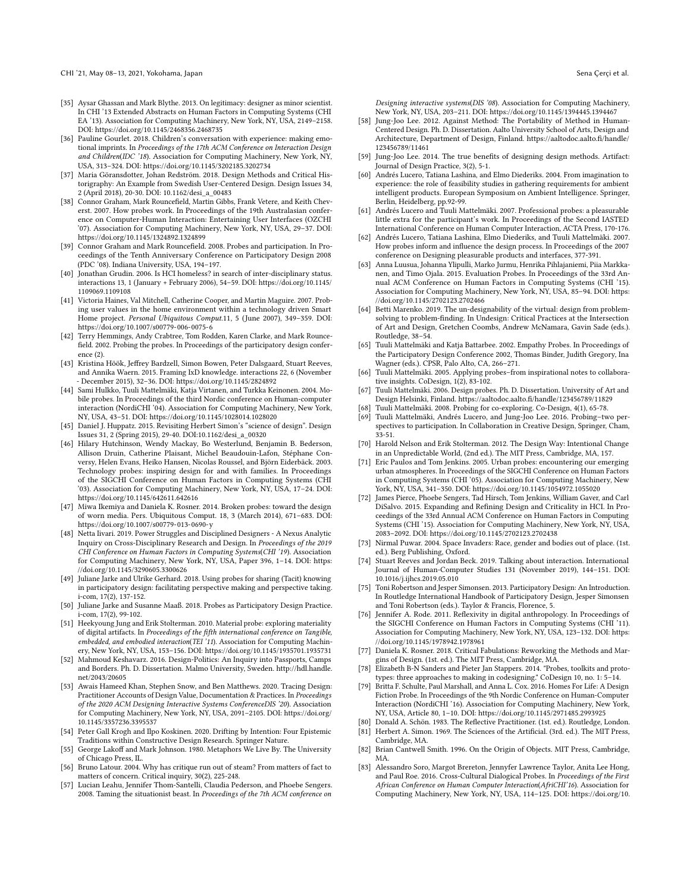- <span id="page-13-17"></span>[35] Aysar Ghassan and Mark Blythe. 2013. On legitimacy: designer as minor scientist. In CHI '13 Extended Abstracts on Human Factors in Computing Systems (CHI EA '13). Association for Computing Machinery, New York, NY, USA, 2149–2158. DOI: <https://doi.org/10.1145/2468356.2468735>
- <span id="page-13-37"></span>[36] Pauline Gourlet. 2018. Children's conversation with experience: making emotional imprints. In Proceedings of the 17th ACM Conference on Interaction Design and Children(IDC '18). Association for Computing Machinery, New York, NY, USA, 313–324. DOI: <https://doi.org/10.1145/3202185.3202734>
- <span id="page-13-27"></span>[37] Maria Göransdotter, Johan Redström. 2018. Design Methods and Critical Historigraphy: An Example from Swedish User-Centered Design. Design Issues 34, 2 (April 2018), 20-30. DOI: 10.1162/desi\_a\_00483
- <span id="page-13-9"></span>[38] Connor Graham, Mark Rouncefield, Martin Gibbs, Frank Vetere, and Keith Cheverst. 2007. How probes work. In Proceedings of the 19th Australasian conference on Computer-Human Interaction: Entertaining User Interfaces (OZCHI '07). Association for Computing Machinery, New York, NY, USA, 29–37. DOI: <https://doi.org/10.1145/1324892.1324899>
- <span id="page-13-45"></span>[39] Connor Graham and Mark Rouncefeld. 2008. Probes and participation. In Proceedings of the Tenth Anniversary Conference on Participatory Design 2008 (PDC '08). Indiana University, USA, 194–197.
- <span id="page-13-33"></span>[40] Jonathan Grudin. 2006. Is HCI homeless? in search of inter-disciplinary status. interactions 13, 1 (January + February 2006), 54–59. DOI: [https://doi.org/10.1145/](https://doi.org/10.1145/1109069.1109108) [1109069.1109108](https://doi.org/10.1145/1109069.1109108)
- <span id="page-13-13"></span>[41] Victoria Haines, Val Mitchell, Catherine Cooper, and Martin Maguire. 2007. Probing user values in the home environment within a technology driven Smart Home project. Personal Ubiquitous [Comput](https://Comput.11).11, 5 (June 2007), 349–359. DOI: <https://doi.org/10.1007/s00779-006-0075-6>
- <span id="page-13-38"></span>[42] Terry Hemmings, Andy Crabtree, Tom Rodden, Karen Clarke, and Mark Rouncefeld. 2002. Probing the probes. In Proceedings of the participatory design conference (2).
- <span id="page-13-19"></span>[43] Kristina Höök, Jefrey Bardzell, Simon Bowen, Peter Dalsgaard, Stuart Reeves, and Annika Waern. 2015. Framing IxD knowledge. interactions 22, 6 (November - December 2015), 32–36. DOI: <https://doi.org/10.1145/2824892>
- <span id="page-13-2"></span>[44] Sami Hulkko, Tuuli Mattelmäki, Katja Virtanen, and Turkka Keinonen. 2004. Mobile probes. In Proceedings of the third Nordic conference on Human-computer interaction (NordiCHI '04). Association for Computing Machinery, New York, NY, USA, 43–51. DOI: <https://doi.org/10.1145/1028014.1028020>
- <span id="page-13-24"></span>[45] Daniel J. Huppatz. 2015. Revisiting Herbert Simon's "science of design". Design Issues 31, 2 (Spring 2015), 29-40. DOI:10.1162/desi\_a\_00320
- <span id="page-13-0"></span>[46] Hilary Hutchinson, Wendy Mackay, Bo Westerlund, Benjamin B. Bederson, Allison Druin, Catherine Plaisant, Michel Beaudouin-Lafon, Stéphane Conversy, Helen Evans, Heiko Hansen, Nicolas Roussel, and Björn Eiderbäck. 2003. Technology probes: inspiring design for and with families. In Proceedings of the SIGCHI Conference on Human Factors in Computing Systems (CHI '03). Association for Computing Machinery, New York, NY, USA, 17–24. DOI: <https://doi.org/10.1145/642611.642616>
- <span id="page-13-5"></span>[47] Miwa Ikemiya and Daniela K. Rosner. 2014. Broken probes: toward the design of worn media. Pers. Ubiquitous Comput. 18, 3 (March 2014), 671–683. DOI: <https://doi.org/10.1007/s00779-013-0690-y>
- <span id="page-13-15"></span>[48] Netta Iivari. 2019. Power Struggles and Disciplined Designers - A Nexus Analytic Inquiry on Cross-Disciplinary Research and Design. In Proceedings of the 2019 CHI Conference on Human Factors in Computing Systems(CHI '19). Association for Computing Machinery, New York, NY, USA, Paper 396, 1–14. DOI: [https:](https://doi.org/10.1145/3290605.3300626) [//doi.org/10.1145/3290605.3300626](https://doi.org/10.1145/3290605.3300626)
- <span id="page-13-42"></span>[49] Juliane Jarke and Ulrike Gerhard. 2018. Using probes for sharing (Tacit) knowing in participatory design: facilitating perspective making and perspective taking. i-com, 17(2), 137-152.
- <span id="page-13-43"></span>[50] Juliane Jarke and Susanne Maaß. 2018. Probes as Participatory Design Practice. i-com, 17(2), 99-102.
- <span id="page-13-36"></span>[51] Heekyoung Jung and Erik Stolterman. 2010. Material probe: exploring materiality of digital artifacts. In Proceedings of the ffth international conference on Tangible, embedded, and embodied interaction(TEI '11). Association for Computing Machinery, New York, NY, USA, 153–156. DOI: <https://doi.org/10.1145/1935701.1935731>
- <span id="page-13-25"></span>[52] Mahmoud Keshavarz. 2016. Design-Politics: An Inquiry into Passports, Camps and Borders. Ph. D. Dissertation. Malmo University, Sweden. [http://hdl.handle.](http://hdl.handle.net/2043/20605) [net/2043/20605](http://hdl.handle.net/2043/20605)
- <span id="page-13-35"></span>[53] Awais Hameed Khan, Stephen Snow, and Ben Matthews. 2020. Tracing Design: Practitioner Accounts of Design Value, Documentation & Practices. In Proceedings of the 2020 ACM Designing Interactive Systems ConferenceDIS '20). Association for Computing Machinery, New York, NY, USA, 2091–2105. DOI: [https://doi.org/](https://doi.org/10.1145/3357236.3395537) [10.1145/3357236.3395537](https://doi.org/10.1145/3357236.3395537)
- <span id="page-13-39"></span>[54] Peter Gall Krogh and Ilpo Koskinen. 2020. Drifting by Intention: Four Epistemic Traditions within Constructive Design Research. Springer Nature.
- <span id="page-13-31"></span>[55] George Lakoff and Mark Johnson. 1980. Metaphors We Live By. The University of Chicago Press, IL.
- <span id="page-13-48"></span>[56] Bruno Latour. 2004. Why has critique run out of steam? From matters of fact to matters of concern. Critical inquiry, 30(2), 225-248.
- <span id="page-13-46"></span>[57] Lucian Leahu, Jennifer Thom-Santelli, Claudia Pederson, and Phoebe Sengers. 2008. Taming the situationist beast. In Proceedings of the 7th ACM conference on

Designing interactive systems(DIS '08). Association for Computing Machinery, New York, NY, USA, 203–211. DOI: <https://doi.org/10.1145/1394445.1394467>

- <span id="page-13-28"></span>[58] Jung-Joo Lee. 2012. Against Method: The Portability of Method in Human-Centered Design. Ph. D. Dissertation. Aalto University School of Arts, Design and Architecture, Department of Design, Finland. [https://aaltodoc.aalto.f/handle/](https://aaltodoc.aalto.fi/handle/123456789/11461) [123456789/11461](https://aaltodoc.aalto.fi/handle/123456789/11461)
- <span id="page-13-29"></span>[59] Jung-Joo Lee. 2014. The true benefts of designing design methods. Artifact: Journal of Design Practice, 3(2), 5-1.
- <span id="page-13-47"></span>[60] Andrés Lucero, Tatiana Lashina, and Elmo Diederiks. 2004. From imagination to experience: the role of feasibility studies in gathering requirements for ambient intelligent products. European Symposium on Ambient Intelligence. Springer, Berlin, Heidelberg, pp.92-99.
- <span id="page-13-26"></span>[61] Andrés Lucero and Tuuli Mattelmäki. 2007. Professional probes: a pleasurable little extra for the participant's work. In Proceedings of the Second IASTED International Conference on Human Computer Interaction, ACTA Press, 170-176.
- <span id="page-13-10"></span>[62] Andrés Lucero, Tatiana Lashina, Elmo Diederiks, and Tuuli Mattelmäki. 2007. How probes inform and infuence the design process. In Proceedings of the 2007 conference on Designing pleasurable products and interfaces, 377-391.
- <span id="page-13-6"></span>[63] Anna Luusua, Johanna Ylipulli, Marko Jurmu, Henrika Pihlajaniemi, Piia Markkanen, and Timo Ojala. 2015. Evaluation Probes. In Proceedings of the 33rd Annual ACM Conference on Human Factors in Computing Systems (CHI '15). Association for Computing Machinery, New York, NY, USA, 85–94. DOI: [https:](https://doi.org/10.1145/2702123.2702466) [//doi.org/10.1145/2702123.2702466](https://doi.org/10.1145/2702123.2702466)
- <span id="page-13-22"></span>[64] Betti Marenko. 2019. The un-designability of the virtual: design from problemsolving to problem-fnding. In Undesign: Critical Practices at the Intersection of Art and Design, Gretchen Coombs, Andrew McNamara, Gavin Sade (eds.). Routledge, 38–54.
- <span id="page-13-1"></span>[65] Tuuli Mattelmäki and Katja Battarbee. 2002. Empathy Probes. In Proceedings of the Participatory Design Conference 2002, Thomas Binder, Judith Gregory, Ina Wagner (eds.). CPSR, Palo Alto, CA, 266–271.
- <span id="page-13-11"></span>[66] Tuuli Mattelmäki. 2005. Applying probes–from inspirational notes to collaborative insights. CoDesign, 1(2), 83-102.
- <span id="page-13-4"></span>[67] Tuuli Mattelmäki. 2006. Design probes. Ph. D. Dissertation. University of Art and Design Helsinki, Finland. [https://aaltodoc.aalto.f/handle/123456789/11829](https://aaltodoc.aalto.fi/handle/123456789/11829)
- <span id="page-13-14"></span>[68] Tuuli Mattelmäki. 2008. Probing for co-exploring. Co-Design, 4(1), 65-78.
- <span id="page-13-8"></span>[69] Tuuli Mattelmäki, Andrés Lucero, and Jung-Joo Lee. 2016. Probing–two perspectives to participation. In Collaboration in Creative Design, Springer, Cham, 33-51.
- <span id="page-13-20"></span>[70] Harold Nelson and Erik Stolterman. 2012. The Design Way: Intentional Change in an Unpredictable World, (2nd ed.). The MIT Press, Cambridge, MA, 157.
- <span id="page-13-3"></span>[71] Eric Paulos and Tom Jenkins. 2005. Urban probes: encountering our emerging urban atmospheres. In Proceedings of the SIGCHI Conference on Human Factors in Computing Systems (CHI '05). Association for Computing Machinery, New York, NY, USA, 341–350. DOI: <https://doi.org/10.1145/1054972.1055020>
- <span id="page-13-18"></span>[72] James Pierce, Phoebe Sengers, Tad Hirsch, Tom Jenkins, William Gaver, and Carl DiSalvo. 2015. Expanding and Refning Design and Criticality in HCI. In Proceedings of the 33rd Annual ACM Conference on Human Factors in Computing Systems (CHI '15). Association for Computing Machinery, New York, NY, USA, 2083–2092. DOI: <https://doi.org/10.1145/2702123.2702438>
- <span id="page-13-30"></span>[73] Nirmal Puwar. 2004. Space Invaders: Race, gender and bodies out of place. (1st. ed.). Berg Publishing, Oxford.
- <span id="page-13-32"></span>[74] Stuart Reeves and Jordan Beck. 2019. Talking about interaction. International Journal of Human-Computer Studies 131 (November 2019), 144–151. DOI: 10.1016/j.ijhcs.2019.05.010
- <span id="page-13-44"></span>[75] Toni Robertson and Jesper Simonsen. 2013. Participatory Design: An Introduction. In Routledge International Handbook of Participatory Design, Jesper Simonsen and Toni Robertson (eds.). Taylor & Francis, Florence, 5.
- <span id="page-13-41"></span>[76] Jennifer A. Rode. 2011. Refexivity in digital anthropology. In Proceedings of the SIGCHI Conference on Human Factors in Computing Systems (CHI '11). Association for Computing Machinery, New York, NY, USA, 123–132. DOI: [https:](https://doi.org/10.1145/1978942.1978961) [//doi.org/10.1145/1978942.1978961](https://doi.org/10.1145/1978942.1978961)
- <span id="page-13-21"></span>[77] Daniela K. Rosner. 2018. Critical Fabulations: Reworking the Methods and Margins of Design. (1st. ed.). The MIT Press, Cambridge, MA.
- <span id="page-13-12"></span>[78] Elizabeth B-N Sanders and Pieter Jan Stappers. 2014. "Probes, toolkits and prototypes: three approaches to making in codesigning." CoDesign 10, no. 1: 5–14.
- <span id="page-13-7"></span>Britta F. Schulte, Paul Marshall, and Anna L. Cox. 2016. Homes For Life: A Design Fiction Probe. In Proceedings of the 9th Nordic Conference on Human-Computer Interaction (NordiCHI '16). Association for Computing Machinery, New York, NY, USA, Article 80, 1–10. DOI: <https://doi.org/10.1145/2971485.2993925>
- <span id="page-13-23"></span><span id="page-13-16"></span>[80] Donald A. Schön. 1983. The Refective Practitioner. (1st. ed.). Routledge, London. [81] Herbert A. Simon. 1969. The Sciences of the Artifcial. (3rd. ed.). The MIT Press,
- Cambridge, MA.
- <span id="page-13-34"></span>[82] Brian Cantwell Smith. 1996. On the Origin of Objects. MIT Press, Cambridge, MA.
- <span id="page-13-40"></span>[83] Alessandro Soro, Margot Brereton, Jennyfer Lawrence Taylor, Anita Lee Hong, and Paul Roe. 2016. Cross-Cultural Dialogical Probes. In Proceedings of the First African Conference on Human Computer Interaction(AfriCHI'16). Association for Computing Machinery, New York, NY, USA, 114–125. DOI: [https://doi.org/10.](https://doi.org/10.1145/2998581.2998591)